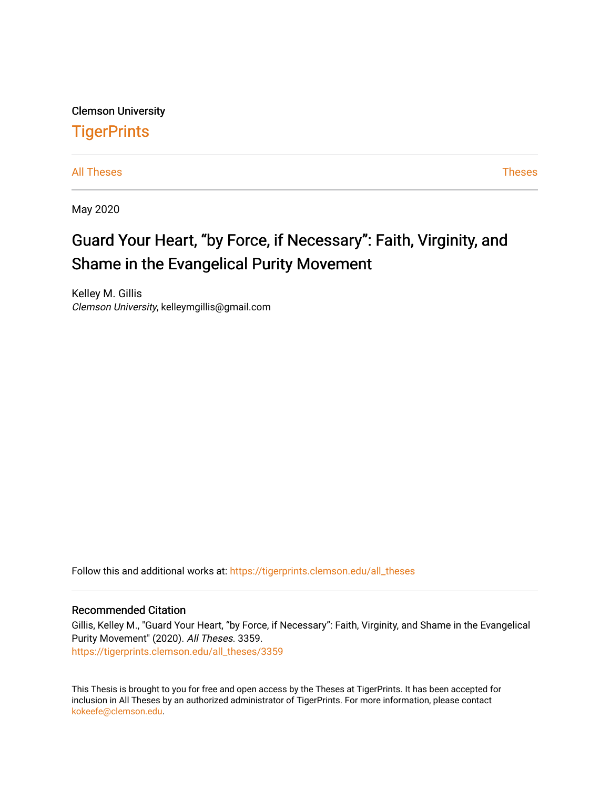Clemson University **TigerPrints** 

[All Theses](https://tigerprints.clemson.edu/all_theses) **Theses** [Theses](https://tigerprints.clemson.edu/theses) **Theses** 

May 2020

# Guard Your Heart, "by Force, if Necessary": Faith, Virginity, and Shame in the Evangelical Purity Movement

Kelley M. Gillis Clemson University, kelleymgillis@gmail.com

Follow this and additional works at: [https://tigerprints.clemson.edu/all\\_theses](https://tigerprints.clemson.edu/all_theses?utm_source=tigerprints.clemson.edu%2Fall_theses%2F3359&utm_medium=PDF&utm_campaign=PDFCoverPages) 

#### Recommended Citation

Gillis, Kelley M., "Guard Your Heart, "by Force, if Necessary": Faith, Virginity, and Shame in the Evangelical Purity Movement" (2020). All Theses. 3359. [https://tigerprints.clemson.edu/all\\_theses/3359](https://tigerprints.clemson.edu/all_theses/3359?utm_source=tigerprints.clemson.edu%2Fall_theses%2F3359&utm_medium=PDF&utm_campaign=PDFCoverPages) 

This Thesis is brought to you for free and open access by the Theses at TigerPrints. It has been accepted for inclusion in All Theses by an authorized administrator of TigerPrints. For more information, please contact [kokeefe@clemson.edu](mailto:kokeefe@clemson.edu).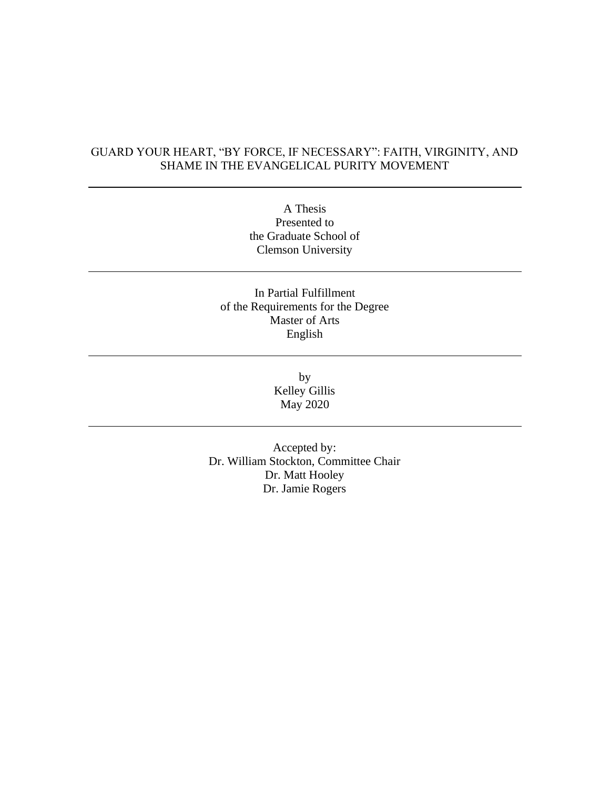## GUARD YOUR HEART, "BY FORCE, IF NECESSARY": FAITH, VIRGINITY, AND SHAME IN THE EVANGELICAL PURITY MOVEMENT

A Thesis Presented to the Graduate School of Clemson University

### In Partial Fulfillment of the Requirements for the Degree Master of Arts English

by Kelley Gillis May 2020

Accepted by: Dr. William Stockton, Committee Chair Dr. Matt Hooley Dr. Jamie Rogers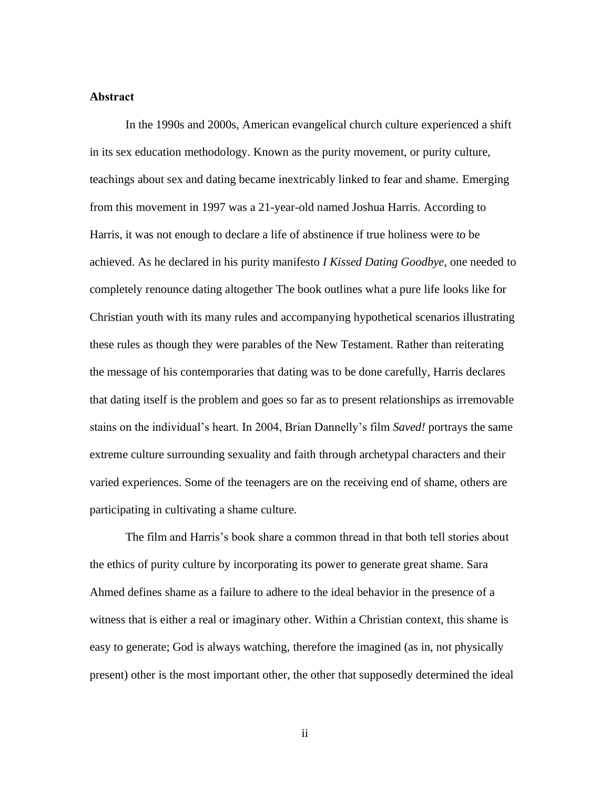#### **Abstract**

In the 1990s and 2000s, American evangelical church culture experienced a shift in its sex education methodology. Known as the purity movement, or purity culture, teachings about sex and dating became inextricably linked to fear and shame. Emerging from this movement in 1997 was a 21-year-old named Joshua Harris. According to Harris, it was not enough to declare a life of abstinence if true holiness were to be achieved. As he declared in his purity manifesto *I Kissed Dating Goodbye*, one needed to completely renounce dating altogether The book outlines what a pure life looks like for Christian youth with its many rules and accompanying hypothetical scenarios illustrating these rules as though they were parables of the New Testament. Rather than reiterating the message of his contemporaries that dating was to be done carefully, Harris declares that dating itself is the problem and goes so far as to present relationships as irremovable stains on the individual's heart. In 2004, Brian Dannelly's film *Saved!* portrays the same extreme culture surrounding sexuality and faith through archetypal characters and their varied experiences. Some of the teenagers are on the receiving end of shame, others are participating in cultivating a shame culture.

The film and Harris's book share a common thread in that both tell stories about the ethics of purity culture by incorporating its power to generate great shame. Sara Ahmed defines shame as a failure to adhere to the ideal behavior in the presence of a witness that is either a real or imaginary other. Within a Christian context, this shame is easy to generate; God is always watching, therefore the imagined (as in, not physically present) other is the most important other, the other that supposedly determined the ideal

ii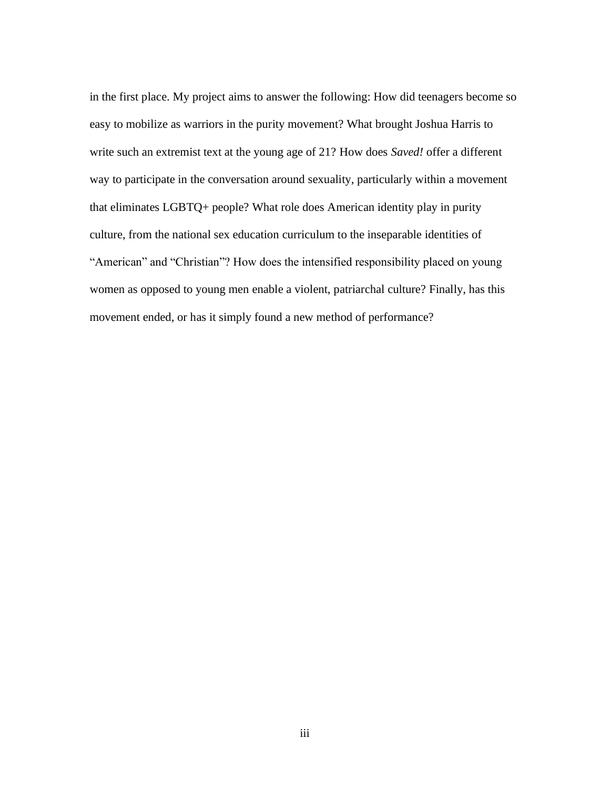in the first place. My project aims to answer the following: How did teenagers become so easy to mobilize as warriors in the purity movement? What brought Joshua Harris to write such an extremist text at the young age of 21? How does *Saved!* offer a different way to participate in the conversation around sexuality, particularly within a movement that eliminates LGBTQ+ people? What role does American identity play in purity culture, from the national sex education curriculum to the inseparable identities of "American" and "Christian"? How does the intensified responsibility placed on young women as opposed to young men enable a violent, patriarchal culture? Finally, has this movement ended, or has it simply found a new method of performance?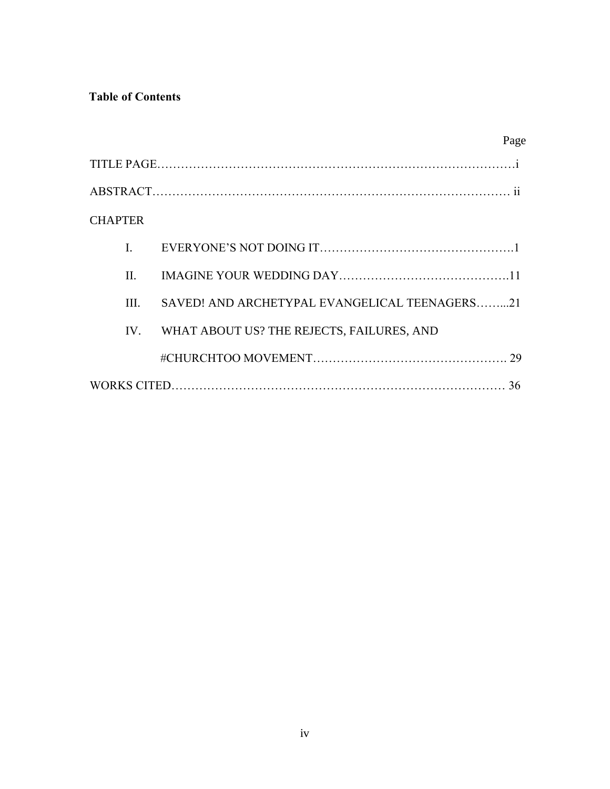# **Table of Contents**

| <b>CHAPTER</b>                                        |
|-------------------------------------------------------|
|                                                       |
| $\Pi$                                                 |
| SAVED! AND ARCHETYPAL EVANGELICAL TEENAGERS21<br>III. |
| WHAT ABOUT US? THE REJECTS, FAILURES, AND<br>$IV_{-}$ |
|                                                       |
|                                                       |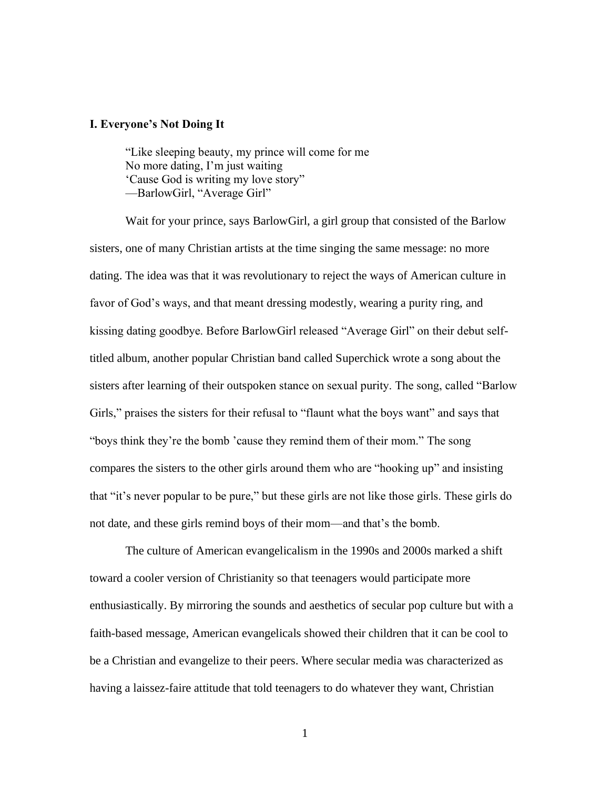#### **I. Everyone's Not Doing It**

"Like sleeping beauty, my prince will come for me No more dating, I'm just waiting 'Cause God is writing my love story" —BarlowGirl, "Average Girl"

Wait for your prince, says BarlowGirl, a girl group that consisted of the Barlow sisters, one of many Christian artists at the time singing the same message: no more dating. The idea was that it was revolutionary to reject the ways of American culture in favor of God's ways, and that meant dressing modestly, wearing a purity ring, and kissing dating goodbye. Before BarlowGirl released "Average Girl" on their debut selftitled album, another popular Christian band called Superchick wrote a song about the sisters after learning of their outspoken stance on sexual purity. The song, called "Barlow Girls," praises the sisters for their refusal to "flaunt what the boys want" and says that "boys think they're the bomb 'cause they remind them of their mom." The song compares the sisters to the other girls around them who are "hooking up" and insisting that "it's never popular to be pure," but these girls are not like those girls. These girls do not date, and these girls remind boys of their mom—and that's the bomb.

The culture of American evangelicalism in the 1990s and 2000s marked a shift toward a cooler version of Christianity so that teenagers would participate more enthusiastically. By mirroring the sounds and aesthetics of secular pop culture but with a faith-based message, American evangelicals showed their children that it can be cool to be a Christian and evangelize to their peers. Where secular media was characterized as having a laissez-faire attitude that told teenagers to do whatever they want, Christian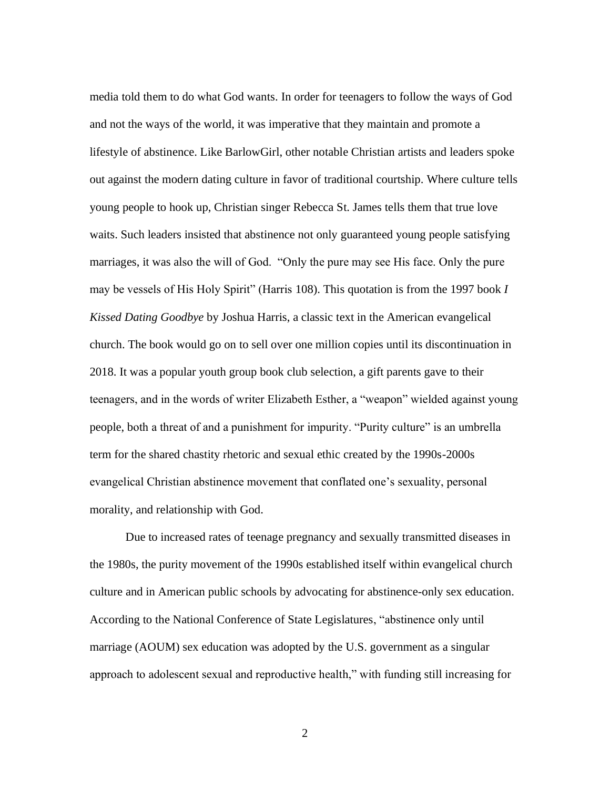media told them to do what God wants. In order for teenagers to follow the ways of God and not the ways of the world, it was imperative that they maintain and promote a lifestyle of abstinence. Like BarlowGirl, other notable Christian artists and leaders spoke out against the modern dating culture in favor of traditional courtship. Where culture tells young people to hook up, Christian singer Rebecca St. James tells them that true love waits. Such leaders insisted that abstinence not only guaranteed young people satisfying marriages, it was also the will of God. "Only the pure may see His face. Only the pure may be vessels of His Holy Spirit" (Harris 108). This quotation is from the 1997 book *I Kissed Dating Goodbye* by Joshua Harris, a classic text in the American evangelical church. The book would go on to sell over one million copies until its discontinuation in 2018. It was a popular youth group book club selection, a gift parents gave to their teenagers, and in the words of writer Elizabeth Esther, a "weapon" wielded against young people, both a threat of and a punishment for impurity. "Purity culture" is an umbrella term for the shared chastity rhetoric and sexual ethic created by the 1990s-2000s evangelical Christian abstinence movement that conflated one's sexuality, personal morality, and relationship with God.

Due to increased rates of teenage pregnancy and sexually transmitted diseases in the 1980s, the purity movement of the 1990s established itself within evangelical church culture and in American public schools by advocating for abstinence-only sex education. According to the National Conference of State Legislatures, "abstinence only until marriage (AOUM) sex education was adopted by the U.S. government as a singular approach to adolescent sexual and reproductive health," with funding still increasing for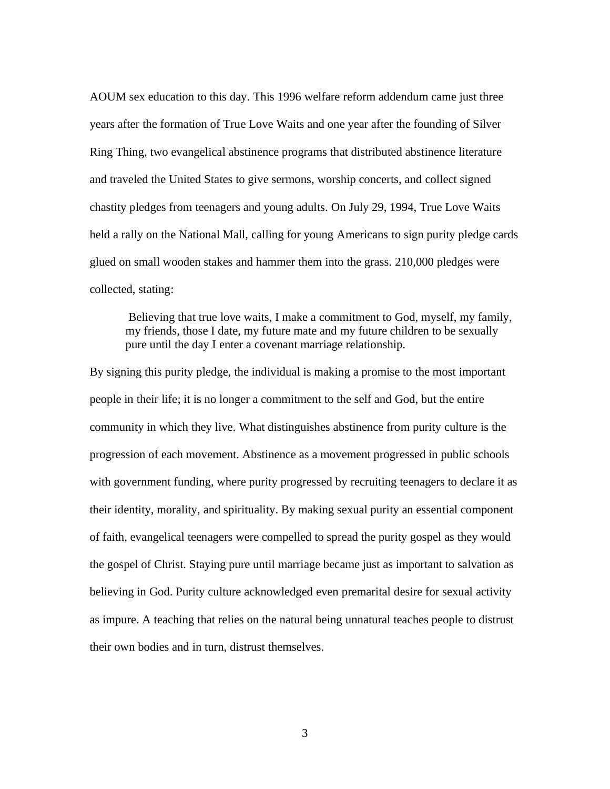AOUM sex education to this day. This 1996 welfare reform addendum came just three years after the formation of True Love Waits and one year after the founding of Silver Ring Thing, two evangelical abstinence programs that distributed abstinence literature and traveled the United States to give sermons, worship concerts, and collect signed chastity pledges from teenagers and young adults. On July 29, 1994, True Love Waits held a rally on the National Mall, calling for young Americans to sign purity pledge cards glued on small wooden stakes and hammer them into the grass. 210,000 pledges were collected, stating:

Believing that true love waits, I make a commitment to God, myself, my family, my friends, those I date, my future mate and my future children to be sexually pure until the day I enter a covenant marriage relationship.

By signing this purity pledge, the individual is making a promise to the most important people in their life; it is no longer a commitment to the self and God, but the entire community in which they live. What distinguishes abstinence from purity culture is the progression of each movement. Abstinence as a movement progressed in public schools with government funding, where purity progressed by recruiting teenagers to declare it as their identity, morality, and spirituality. By making sexual purity an essential component of faith, evangelical teenagers were compelled to spread the purity gospel as they would the gospel of Christ. Staying pure until marriage became just as important to salvation as believing in God. Purity culture acknowledged even premarital desire for sexual activity as impure. A teaching that relies on the natural being unnatural teaches people to distrust their own bodies and in turn, distrust themselves.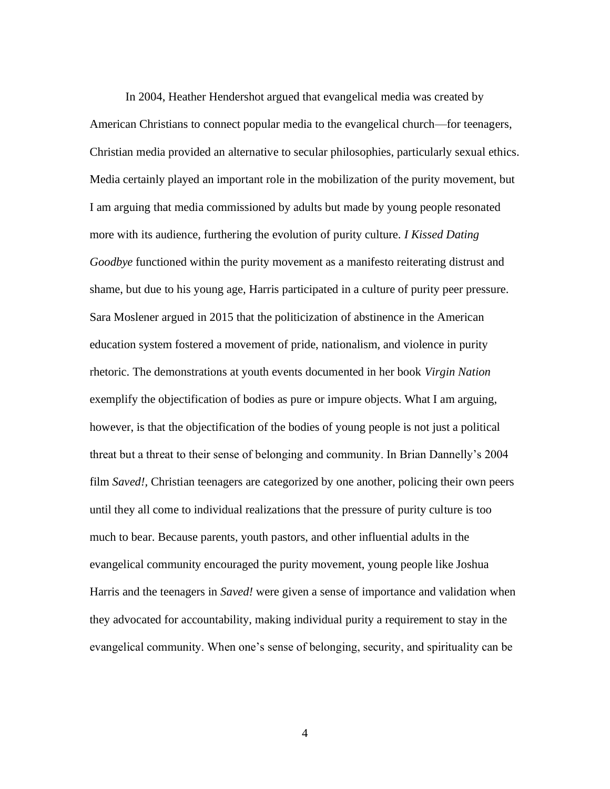In 2004, Heather Hendershot argued that evangelical media was created by American Christians to connect popular media to the evangelical church—for teenagers, Christian media provided an alternative to secular philosophies, particularly sexual ethics. Media certainly played an important role in the mobilization of the purity movement, but I am arguing that media commissioned by adults but made by young people resonated more with its audience, furthering the evolution of purity culture. *I Kissed Dating Goodbye* functioned within the purity movement as a manifesto reiterating distrust and shame, but due to his young age, Harris participated in a culture of purity peer pressure. Sara Moslener argued in 2015 that the politicization of abstinence in the American education system fostered a movement of pride, nationalism, and violence in purity rhetoric. The demonstrations at youth events documented in her book *Virgin Nation*  exemplify the objectification of bodies as pure or impure objects. What I am arguing, however, is that the objectification of the bodies of young people is not just a political threat but a threat to their sense of belonging and community. In Brian Dannelly's 2004 film *Saved!*, Christian teenagers are categorized by one another, policing their own peers until they all come to individual realizations that the pressure of purity culture is too much to bear. Because parents, youth pastors, and other influential adults in the evangelical community encouraged the purity movement, young people like Joshua Harris and the teenagers in *Saved!* were given a sense of importance and validation when they advocated for accountability, making individual purity a requirement to stay in the evangelical community. When one's sense of belonging, security, and spirituality can be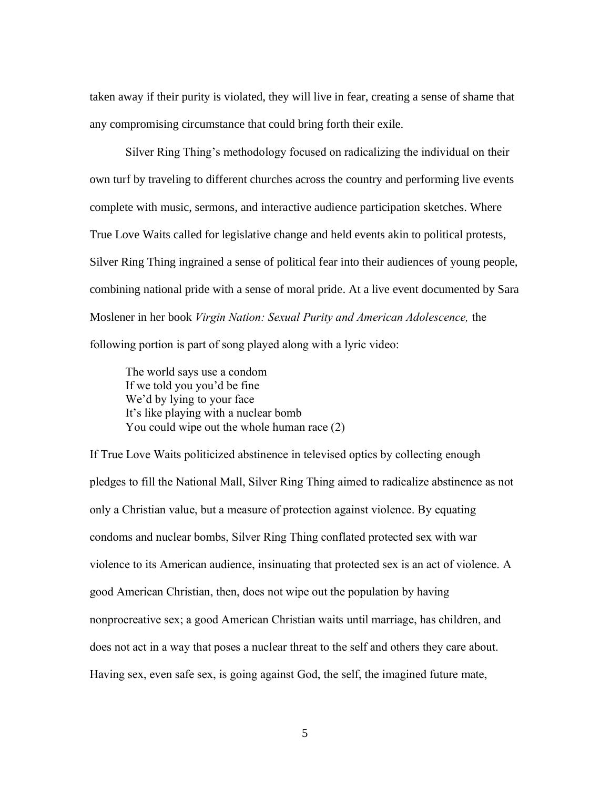taken away if their purity is violated, they will live in fear, creating a sense of shame that any compromising circumstance that could bring forth their exile.

Silver Ring Thing's methodology focused on radicalizing the individual on their own turf by traveling to different churches across the country and performing live events complete with music, sermons, and interactive audience participation sketches. Where True Love Waits called for legislative change and held events akin to political protests, Silver Ring Thing ingrained a sense of political fear into their audiences of young people, combining national pride with a sense of moral pride. At a live event documented by Sara Moslener in her book *Virgin Nation: Sexual Purity and American Adolescence,* the following portion is part of song played along with a lyric video:

The world says use a condom If we told you you'd be fine We'd by lying to your face It's like playing with a nuclear bomb You could wipe out the whole human race (2)

If True Love Waits politicized abstinence in televised optics by collecting enough pledges to fill the National Mall, Silver Ring Thing aimed to radicalize abstinence as not only a Christian value, but a measure of protection against violence. By equating condoms and nuclear bombs, Silver Ring Thing conflated protected sex with war violence to its American audience, insinuating that protected sex is an act of violence. A good American Christian, then, does not wipe out the population by having nonprocreative sex; a good American Christian waits until marriage, has children, and does not act in a way that poses a nuclear threat to the self and others they care about. Having sex, even safe sex, is going against God, the self, the imagined future mate,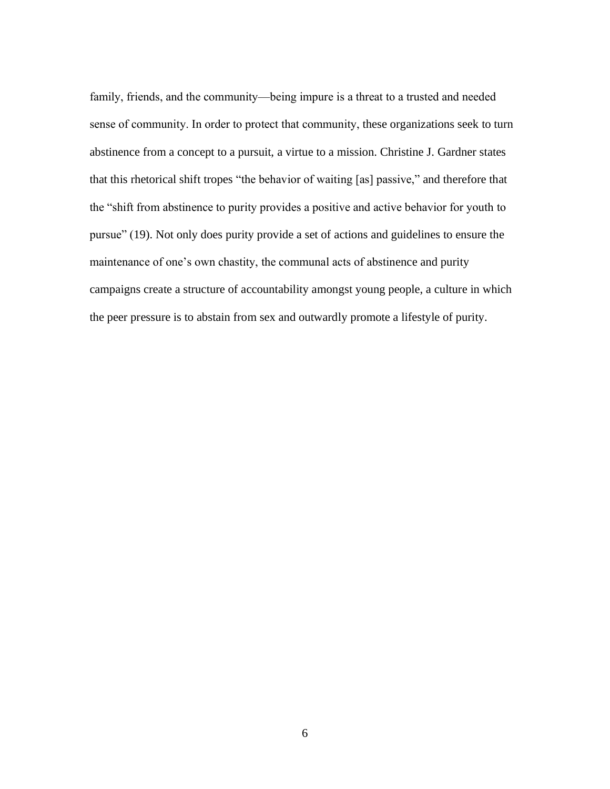family, friends, and the community—being impure is a threat to a trusted and needed sense of community. In order to protect that community, these organizations seek to turn abstinence from a concept to a pursuit, a virtue to a mission. Christine J. Gardner states that this rhetorical shift tropes "the behavior of waiting [as] passive," and therefore that the "shift from abstinence to purity provides a positive and active behavior for youth to pursue" (19). Not only does purity provide a set of actions and guidelines to ensure the maintenance of one's own chastity, the communal acts of abstinence and purity campaigns create a structure of accountability amongst young people, a culture in which the peer pressure is to abstain from sex and outwardly promote a lifestyle of purity.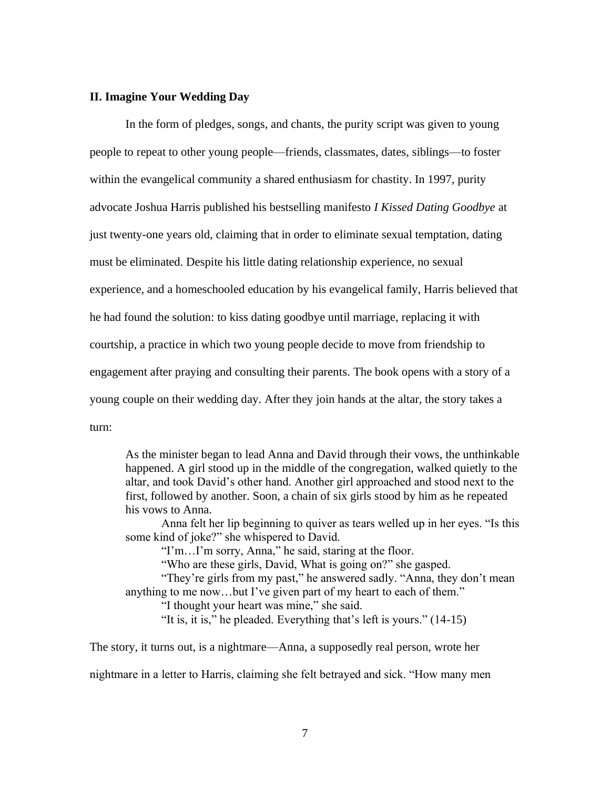#### **II. Imagine Your Wedding Day**

In the form of pledges, songs, and chants, the purity script was given to young people to repeat to other young people—friends, classmates, dates, siblings—to foster within the evangelical community a shared enthusiasm for chastity. In 1997, purity advocate Joshua Harris published his bestselling manifesto *I Kissed Dating Goodbye* at just twenty-one years old, claiming that in order to eliminate sexual temptation, dating must be eliminated. Despite his little dating relationship experience, no sexual experience, and a homeschooled education by his evangelical family, Harris believed that he had found the solution: to kiss dating goodbye until marriage, replacing it with courtship, a practice in which two young people decide to move from friendship to engagement after praying and consulting their parents. The book opens with a story of a young couple on their wedding day. After they join hands at the altar, the story takes a turn:

As the minister began to lead Anna and David through their vows, the unthinkable happened. A girl stood up in the middle of the congregation, walked quietly to the altar, and took David's other hand. Another girl approached and stood next to the first, followed by another. Soon, a chain of six girls stood by him as he repeated his vows to Anna.

Anna felt her lip beginning to quiver as tears welled up in her eyes. "Is this some kind of joke?" she whispered to David.

"I'm…I'm sorry, Anna," he said, staring at the floor.

"Who are these girls, David, What is going on?" she gasped.

"They're girls from my past," he answered sadly. "Anna, they don't mean anything to me now…but I've given part of my heart to each of them." "I thought your heart was mine," she said.

"It is, it is," he pleaded. Everything that's left is yours." (14-15)

The story, it turns out, is a nightmare—Anna, a supposedly real person, wrote her

nightmare in a letter to Harris, claiming she felt betrayed and sick. "How many men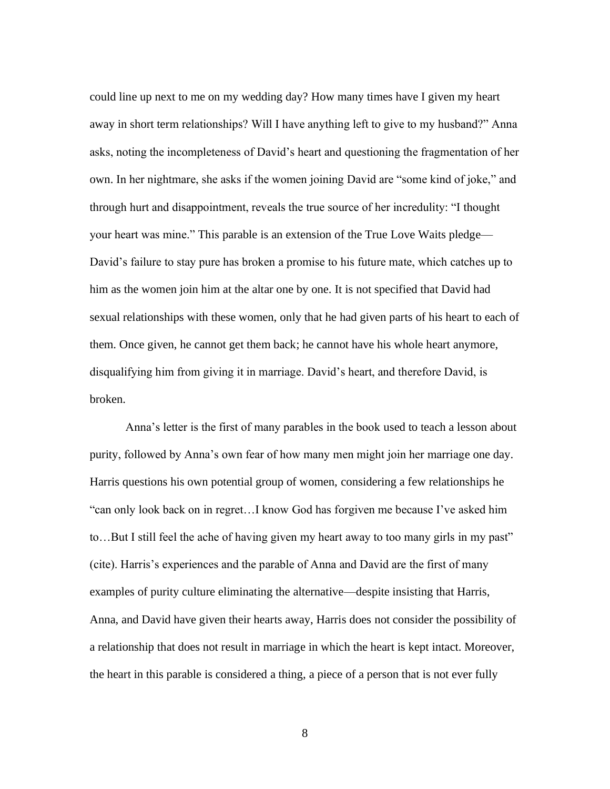could line up next to me on my wedding day? How many times have I given my heart away in short term relationships? Will I have anything left to give to my husband?" Anna asks, noting the incompleteness of David's heart and questioning the fragmentation of her own. In her nightmare, she asks if the women joining David are "some kind of joke," and through hurt and disappointment, reveals the true source of her incredulity: "I thought your heart was mine." This parable is an extension of the True Love Waits pledge— David's failure to stay pure has broken a promise to his future mate, which catches up to him as the women join him at the altar one by one. It is not specified that David had sexual relationships with these women, only that he had given parts of his heart to each of them. Once given, he cannot get them back; he cannot have his whole heart anymore, disqualifying him from giving it in marriage. David's heart, and therefore David, is broken.

Anna's letter is the first of many parables in the book used to teach a lesson about purity, followed by Anna's own fear of how many men might join her marriage one day. Harris questions his own potential group of women, considering a few relationships he "can only look back on in regret…I know God has forgiven me because I've asked him to…But I still feel the ache of having given my heart away to too many girls in my past" (cite). Harris's experiences and the parable of Anna and David are the first of many examples of purity culture eliminating the alternative—despite insisting that Harris, Anna, and David have given their hearts away, Harris does not consider the possibility of a relationship that does not result in marriage in which the heart is kept intact. Moreover, the heart in this parable is considered a thing, a piece of a person that is not ever fully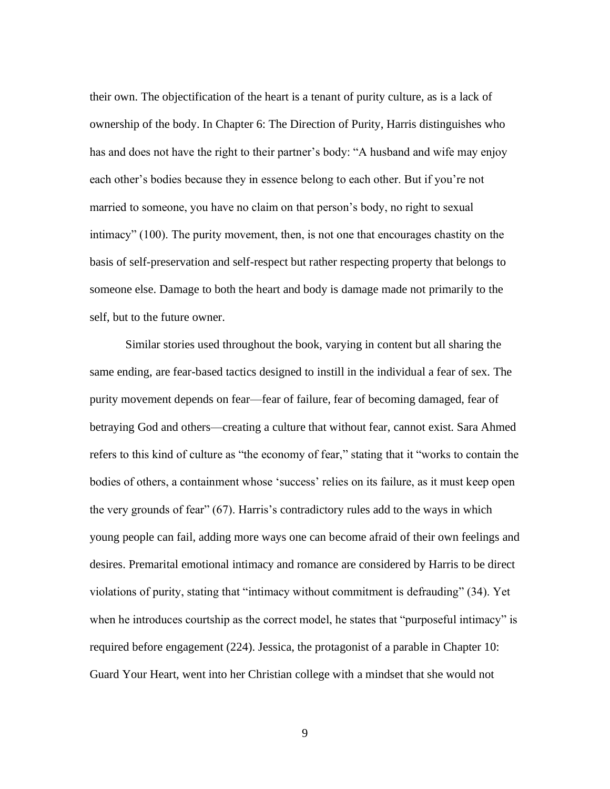their own. The objectification of the heart is a tenant of purity culture, as is a lack of ownership of the body. In Chapter 6: The Direction of Purity, Harris distinguishes who has and does not have the right to their partner's body: "A husband and wife may enjoy each other's bodies because they in essence belong to each other. But if you're not married to someone, you have no claim on that person's body, no right to sexual intimacy" (100). The purity movement, then, is not one that encourages chastity on the basis of self-preservation and self-respect but rather respecting property that belongs to someone else. Damage to both the heart and body is damage made not primarily to the self, but to the future owner.

Similar stories used throughout the book, varying in content but all sharing the same ending, are fear-based tactics designed to instill in the individual a fear of sex. The purity movement depends on fear—fear of failure, fear of becoming damaged, fear of betraying God and others—creating a culture that without fear, cannot exist. Sara Ahmed refers to this kind of culture as "the economy of fear," stating that it "works to contain the bodies of others, a containment whose 'success' relies on its failure, as it must keep open the very grounds of fear" (67). Harris's contradictory rules add to the ways in which young people can fail, adding more ways one can become afraid of their own feelings and desires. Premarital emotional intimacy and romance are considered by Harris to be direct violations of purity, stating that "intimacy without commitment is defrauding" (34). Yet when he introduces courtship as the correct model, he states that "purposeful intimacy" is required before engagement (224). Jessica, the protagonist of a parable in Chapter 10: Guard Your Heart, went into her Christian college with a mindset that she would not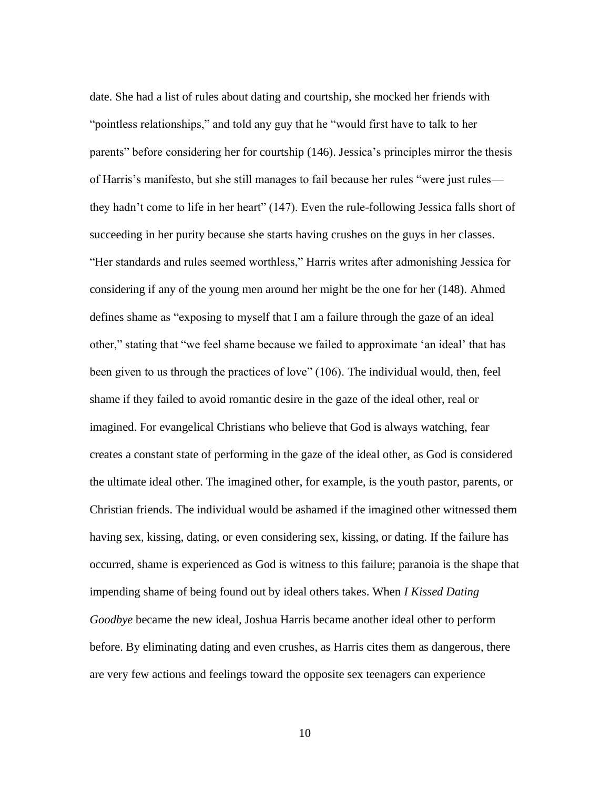date. She had a list of rules about dating and courtship, she mocked her friends with "pointless relationships," and told any guy that he "would first have to talk to her parents" before considering her for courtship (146). Jessica's principles mirror the thesis of Harris's manifesto, but she still manages to fail because her rules "were just rules they hadn't come to life in her heart" (147). Even the rule-following Jessica falls short of succeeding in her purity because she starts having crushes on the guys in her classes. "Her standards and rules seemed worthless," Harris writes after admonishing Jessica for considering if any of the young men around her might be the one for her (148). Ahmed defines shame as "exposing to myself that I am a failure through the gaze of an ideal other," stating that "we feel shame because we failed to approximate 'an ideal' that has been given to us through the practices of love" (106). The individual would, then, feel shame if they failed to avoid romantic desire in the gaze of the ideal other, real or imagined. For evangelical Christians who believe that God is always watching, fear creates a constant state of performing in the gaze of the ideal other, as God is considered the ultimate ideal other. The imagined other, for example, is the youth pastor, parents, or Christian friends. The individual would be ashamed if the imagined other witnessed them having sex, kissing, dating, or even considering sex, kissing, or dating. If the failure has occurred, shame is experienced as God is witness to this failure; paranoia is the shape that impending shame of being found out by ideal others takes. When *I Kissed Dating Goodbye* became the new ideal, Joshua Harris became another ideal other to perform before. By eliminating dating and even crushes, as Harris cites them as dangerous, there are very few actions and feelings toward the opposite sex teenagers can experience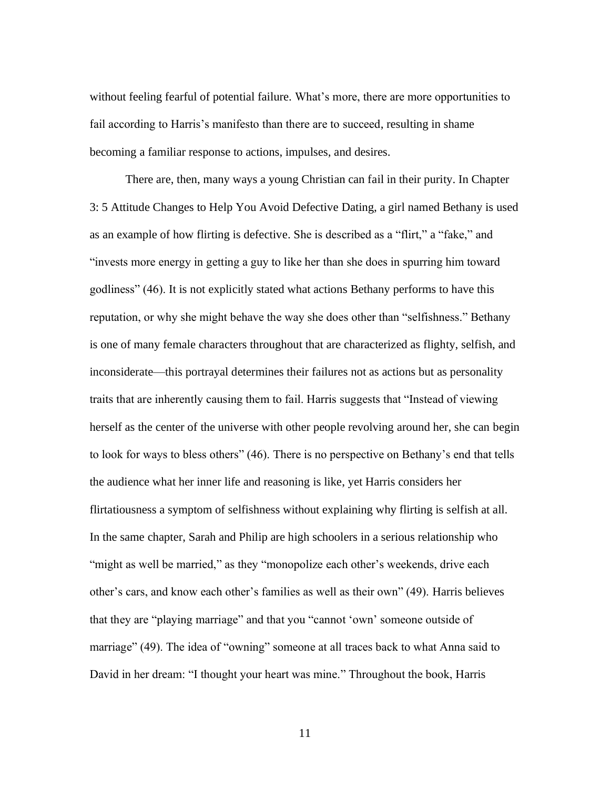without feeling fearful of potential failure. What's more, there are more opportunities to fail according to Harris's manifesto than there are to succeed, resulting in shame becoming a familiar response to actions, impulses, and desires.

There are, then, many ways a young Christian can fail in their purity. In Chapter 3: 5 Attitude Changes to Help You Avoid Defective Dating, a girl named Bethany is used as an example of how flirting is defective. She is described as a "flirt," a "fake," and "invests more energy in getting a guy to like her than she does in spurring him toward godliness" (46). It is not explicitly stated what actions Bethany performs to have this reputation, or why she might behave the way she does other than "selfishness." Bethany is one of many female characters throughout that are characterized as flighty, selfish, and inconsiderate—this portrayal determines their failures not as actions but as personality traits that are inherently causing them to fail. Harris suggests that "Instead of viewing herself as the center of the universe with other people revolving around her, she can begin to look for ways to bless others" (46). There is no perspective on Bethany's end that tells the audience what her inner life and reasoning is like, yet Harris considers her flirtatiousness a symptom of selfishness without explaining why flirting is selfish at all. In the same chapter, Sarah and Philip are high schoolers in a serious relationship who "might as well be married," as they "monopolize each other's weekends, drive each other's cars, and know each other's families as well as their own" (49). Harris believes that they are "playing marriage" and that you "cannot 'own' someone outside of marriage" (49). The idea of "owning" someone at all traces back to what Anna said to David in her dream: "I thought your heart was mine." Throughout the book, Harris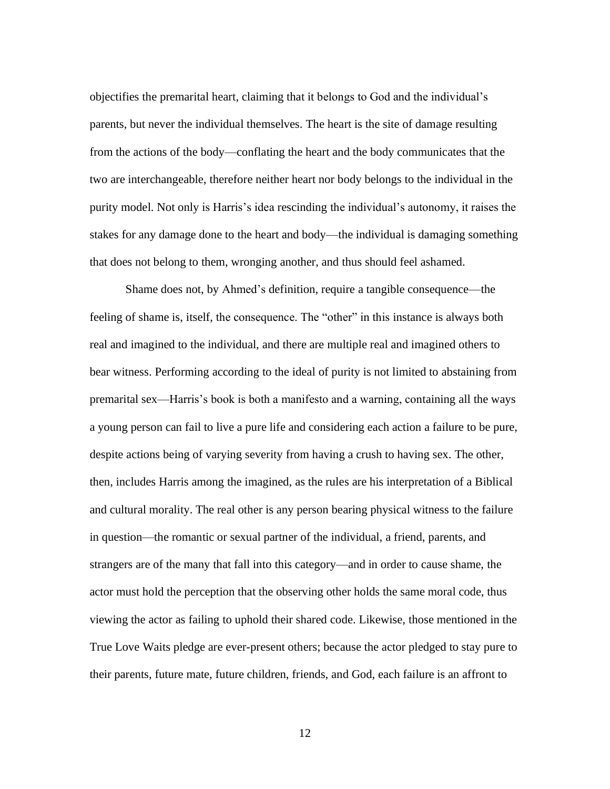objectifies the premarital heart, claiming that it belongs to God and the individual's parents, but never the individual themselves. The heart is the site of damage resulting from the actions of the body—conflating the heart and the body communicates that the two are interchangeable, therefore neither heart nor body belongs to the individual in the purity model. Not only is Harris's idea rescinding the individual's autonomy, it raises the stakes for any damage done to the heart and body—the individual is damaging something that does not belong to them, wronging another, and thus should feel ashamed.

Shame does not, by Ahmed's definition, require a tangible consequence—the feeling of shame is, itself, the consequence. The "other" in this instance is always both real and imagined to the individual, and there are multiple real and imagined others to bear witness. Performing according to the ideal of purity is not limited to abstaining from premarital sex—Harris's book is both a manifesto and a warning, containing all the ways a young person can fail to live a pure life and considering each action a failure to be pure, despite actions being of varying severity from having a crush to having sex. The other, then, includes Harris among the imagined, as the rules are his interpretation of a Biblical and cultural morality. The real other is any person bearing physical witness to the failure in question—the romantic or sexual partner of the individual, a friend, parents, and strangers are of the many that fall into this category—and in order to cause shame, the actor must hold the perception that the observing other holds the same moral code, thus viewing the actor as failing to uphold their shared code. Likewise, those mentioned in the True Love Waits pledge are ever-present others; because the actor pledged to stay pure to their parents, future mate, future children, friends, and God, each failure is an affront to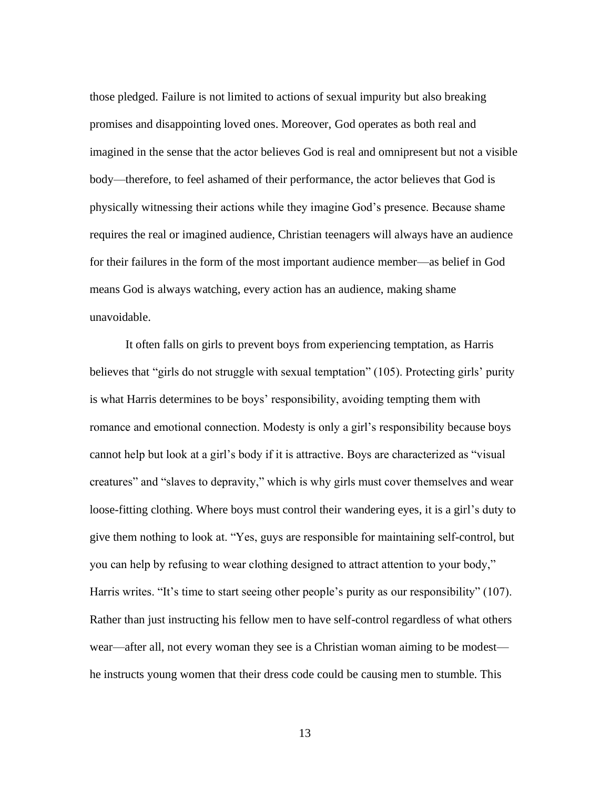those pledged. Failure is not limited to actions of sexual impurity but also breaking promises and disappointing loved ones. Moreover, God operates as both real and imagined in the sense that the actor believes God is real and omnipresent but not a visible body—therefore, to feel ashamed of their performance, the actor believes that God is physically witnessing their actions while they imagine God's presence. Because shame requires the real or imagined audience, Christian teenagers will always have an audience for their failures in the form of the most important audience member—as belief in God means God is always watching, every action has an audience, making shame unavoidable.

It often falls on girls to prevent boys from experiencing temptation, as Harris believes that "girls do not struggle with sexual temptation" (105). Protecting girls' purity is what Harris determines to be boys' responsibility, avoiding tempting them with romance and emotional connection. Modesty is only a girl's responsibility because boys cannot help but look at a girl's body if it is attractive. Boys are characterized as "visual creatures" and "slaves to depravity," which is why girls must cover themselves and wear loose-fitting clothing. Where boys must control their wandering eyes, it is a girl's duty to give them nothing to look at. "Yes, guys are responsible for maintaining self-control, but you can help by refusing to wear clothing designed to attract attention to your body," Harris writes. "It's time to start seeing other people's purity as our responsibility" (107). Rather than just instructing his fellow men to have self-control regardless of what others wear—after all, not every woman they see is a Christian woman aiming to be modest he instructs young women that their dress code could be causing men to stumble. This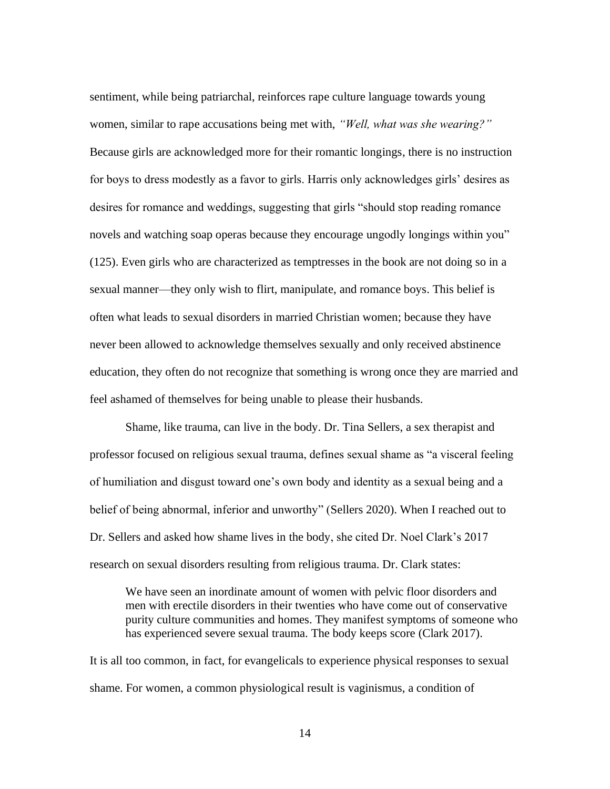sentiment, while being patriarchal, reinforces rape culture language towards young women, similar to rape accusations being met with, *"Well, what was she wearing?"*  Because girls are acknowledged more for their romantic longings, there is no instruction for boys to dress modestly as a favor to girls. Harris only acknowledges girls' desires as desires for romance and weddings, suggesting that girls "should stop reading romance novels and watching soap operas because they encourage ungodly longings within you" (125). Even girls who are characterized as temptresses in the book are not doing so in a sexual manner—they only wish to flirt, manipulate, and romance boys. This belief is often what leads to sexual disorders in married Christian women; because they have never been allowed to acknowledge themselves sexually and only received abstinence education, they often do not recognize that something is wrong once they are married and feel ashamed of themselves for being unable to please their husbands.

Shame, like trauma, can live in the body. Dr. Tina Sellers, a sex therapist and professor focused on religious sexual trauma, defines sexual shame as "a visceral feeling of humiliation and disgust toward one's own body and identity as a sexual being and a belief of being abnormal, inferior and unworthy" (Sellers 2020). When I reached out to Dr. Sellers and asked how shame lives in the body, she cited Dr. Noel Clark's 2017 research on sexual disorders resulting from religious trauma. Dr. Clark states:

We have seen an inordinate amount of women with pelvic floor disorders and men with erectile disorders in their twenties who have come out of conservative purity culture communities and homes. They manifest symptoms of someone who has experienced severe sexual trauma. The body keeps score (Clark 2017).

It is all too common, in fact, for evangelicals to experience physical responses to sexual shame. For women, a common physiological result is vaginismus, a condition of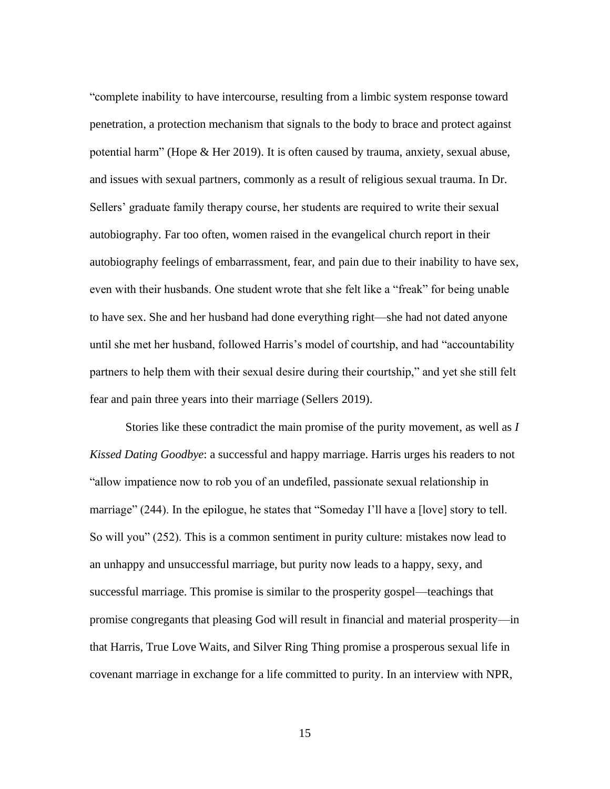"complete inability to have intercourse, resulting from a limbic system response toward penetration, a protection mechanism that signals to the body to brace and protect against potential harm" (Hope & Her 2019). It is often caused by trauma, anxiety, sexual abuse, and issues with sexual partners, commonly as a result of religious sexual trauma. In Dr. Sellers' graduate family therapy course, her students are required to write their sexual autobiography. Far too often, women raised in the evangelical church report in their autobiography feelings of embarrassment, fear, and pain due to their inability to have sex, even with their husbands. One student wrote that she felt like a "freak" for being unable to have sex. She and her husband had done everything right—she had not dated anyone until she met her husband, followed Harris's model of courtship, and had "accountability partners to help them with their sexual desire during their courtship," and yet she still felt fear and pain three years into their marriage (Sellers 2019).

Stories like these contradict the main promise of the purity movement, as well as *I Kissed Dating Goodbye*: a successful and happy marriage. Harris urges his readers to not "allow impatience now to rob you of an undefiled, passionate sexual relationship in marriage" (244). In the epilogue, he states that "Someday I'll have a [love] story to tell. So will you" (252). This is a common sentiment in purity culture: mistakes now lead to an unhappy and unsuccessful marriage, but purity now leads to a happy, sexy, and successful marriage. This promise is similar to the prosperity gospel—teachings that promise congregants that pleasing God will result in financial and material prosperity—in that Harris, True Love Waits, and Silver Ring Thing promise a prosperous sexual life in covenant marriage in exchange for a life committed to purity. In an interview with NPR,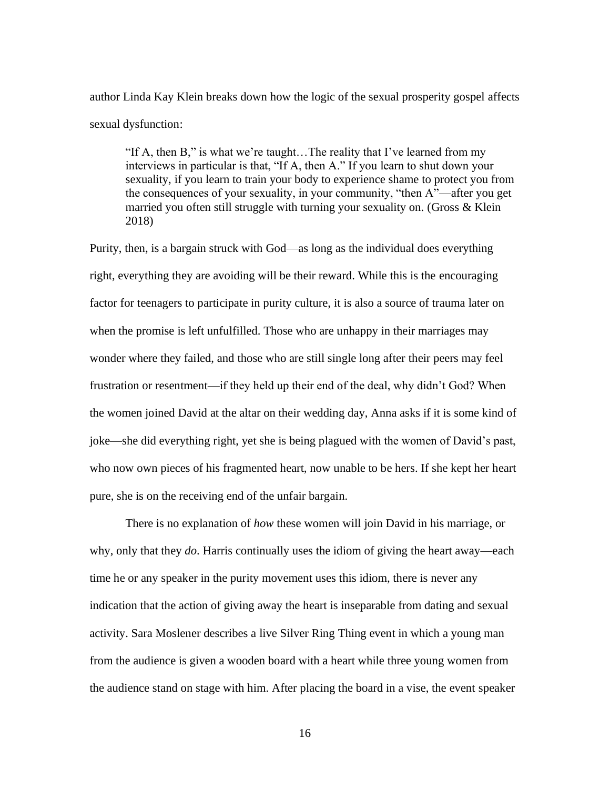author Linda Kay Klein breaks down how the logic of the sexual prosperity gospel affects sexual dysfunction:

"If A, then B," is what we're taught…The reality that I've learned from my interviews in particular is that, "If A, then A." If you learn to shut down your sexuality, if you learn to train your body to experience shame to protect you from the consequences of your sexuality, in your community, "then A"—after you get married you often still struggle with turning your sexuality on. (Gross & Klein 2018)

Purity, then, is a bargain struck with God—as long as the individual does everything right, everything they are avoiding will be their reward. While this is the encouraging factor for teenagers to participate in purity culture, it is also a source of trauma later on when the promise is left unfulfilled. Those who are unhappy in their marriages may wonder where they failed, and those who are still single long after their peers may feel frustration or resentment—if they held up their end of the deal, why didn't God? When the women joined David at the altar on their wedding day, Anna asks if it is some kind of joke—she did everything right, yet she is being plagued with the women of David's past, who now own pieces of his fragmented heart, now unable to be hers. If she kept her heart pure, she is on the receiving end of the unfair bargain.

There is no explanation of *how* these women will join David in his marriage, or why, only that they *do*. Harris continually uses the idiom of giving the heart away—each time he or any speaker in the purity movement uses this idiom, there is never any indication that the action of giving away the heart is inseparable from dating and sexual activity. Sara Moslener describes a live Silver Ring Thing event in which a young man from the audience is given a wooden board with a heart while three young women from the audience stand on stage with him. After placing the board in a vise, the event speaker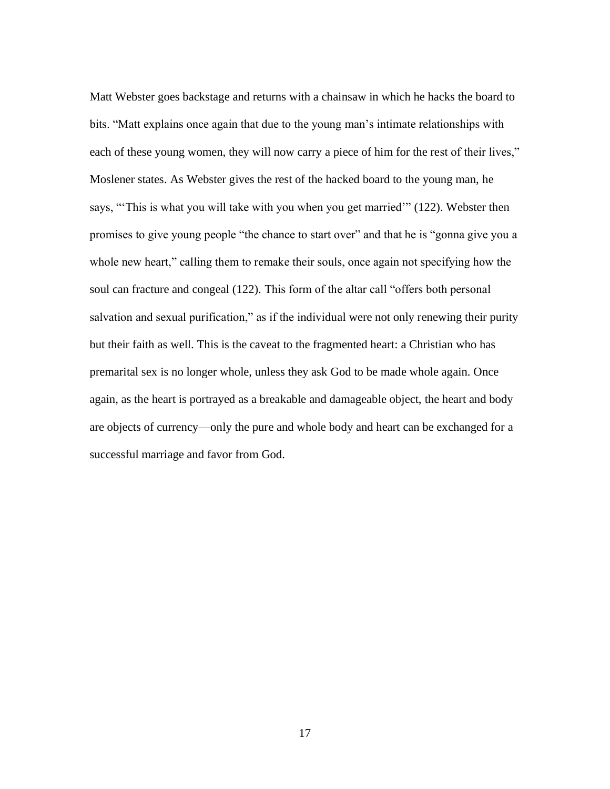Matt Webster goes backstage and returns with a chainsaw in which he hacks the board to bits. "Matt explains once again that due to the young man's intimate relationships with each of these young women, they will now carry a piece of him for the rest of their lives," Moslener states. As Webster gives the rest of the hacked board to the young man, he says, "'This is what you will take with you when you get married'" (122). Webster then promises to give young people "the chance to start over" and that he is "gonna give you a whole new heart," calling them to remake their souls, once again not specifying how the soul can fracture and congeal (122). This form of the altar call "offers both personal salvation and sexual purification," as if the individual were not only renewing their purity but their faith as well. This is the caveat to the fragmented heart: a Christian who has premarital sex is no longer whole, unless they ask God to be made whole again. Once again, as the heart is portrayed as a breakable and damageable object, the heart and body are objects of currency—only the pure and whole body and heart can be exchanged for a successful marriage and favor from God.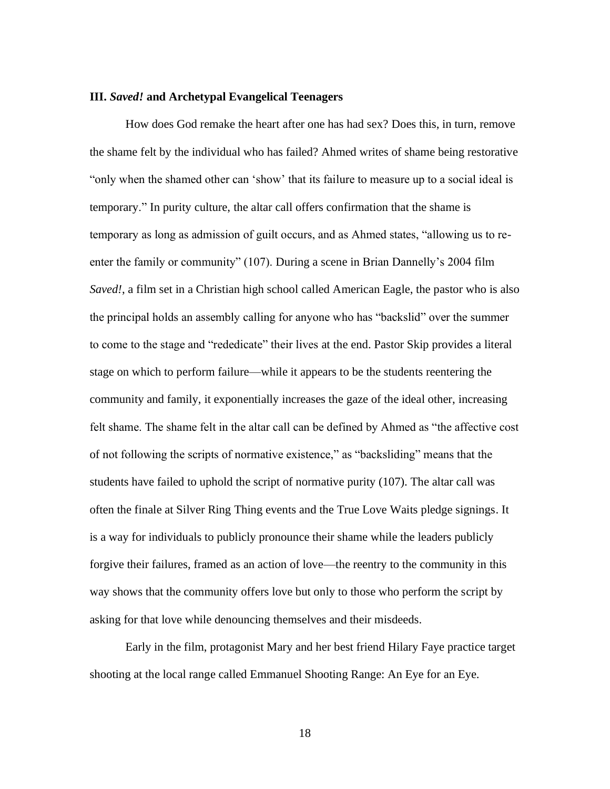#### **III.** *Saved!* **and Archetypal Evangelical Teenagers**

How does God remake the heart after one has had sex? Does this, in turn, remove the shame felt by the individual who has failed? Ahmed writes of shame being restorative "only when the shamed other can 'show' that its failure to measure up to a social ideal is temporary." In purity culture, the altar call offers confirmation that the shame is temporary as long as admission of guilt occurs, and as Ahmed states, "allowing us to reenter the family or community" (107). During a scene in Brian Dannelly's 2004 film *Saved!*, a film set in a Christian high school called American Eagle, the pastor who is also the principal holds an assembly calling for anyone who has "backslid" over the summer to come to the stage and "rededicate" their lives at the end. Pastor Skip provides a literal stage on which to perform failure—while it appears to be the students reentering the community and family, it exponentially increases the gaze of the ideal other, increasing felt shame. The shame felt in the altar call can be defined by Ahmed as "the affective cost of not following the scripts of normative existence," as "backsliding" means that the students have failed to uphold the script of normative purity (107). The altar call was often the finale at Silver Ring Thing events and the True Love Waits pledge signings. It is a way for individuals to publicly pronounce their shame while the leaders publicly forgive their failures, framed as an action of love—the reentry to the community in this way shows that the community offers love but only to those who perform the script by asking for that love while denouncing themselves and their misdeeds.

Early in the film, protagonist Mary and her best friend Hilary Faye practice target shooting at the local range called Emmanuel Shooting Range: An Eye for an Eye.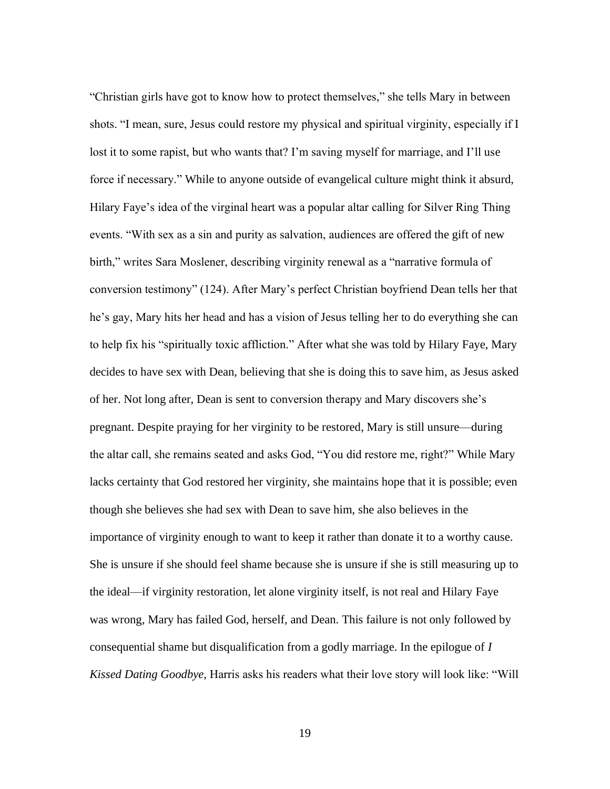"Christian girls have got to know how to protect themselves," she tells Mary in between shots. "I mean, sure, Jesus could restore my physical and spiritual virginity, especially if I lost it to some rapist, but who wants that? I'm saving myself for marriage, and I'll use force if necessary." While to anyone outside of evangelical culture might think it absurd, Hilary Faye's idea of the virginal heart was a popular altar calling for Silver Ring Thing events. "With sex as a sin and purity as salvation, audiences are offered the gift of new birth," writes Sara Moslener, describing virginity renewal as a "narrative formula of conversion testimony" (124). After Mary's perfect Christian boyfriend Dean tells her that he's gay, Mary hits her head and has a vision of Jesus telling her to do everything she can to help fix his "spiritually toxic affliction." After what she was told by Hilary Faye, Mary decides to have sex with Dean, believing that she is doing this to save him, as Jesus asked of her. Not long after, Dean is sent to conversion therapy and Mary discovers she's pregnant. Despite praying for her virginity to be restored, Mary is still unsure—during the altar call, she remains seated and asks God, "You did restore me, right?" While Mary lacks certainty that God restored her virginity, she maintains hope that it is possible; even though she believes she had sex with Dean to save him, she also believes in the importance of virginity enough to want to keep it rather than donate it to a worthy cause. She is unsure if she should feel shame because she is unsure if she is still measuring up to the ideal—if virginity restoration, let alone virginity itself, is not real and Hilary Faye was wrong, Mary has failed God, herself, and Dean. This failure is not only followed by consequential shame but disqualification from a godly marriage. In the epilogue of *I Kissed Dating Goodbye,* Harris asks his readers what their love story will look like: "Will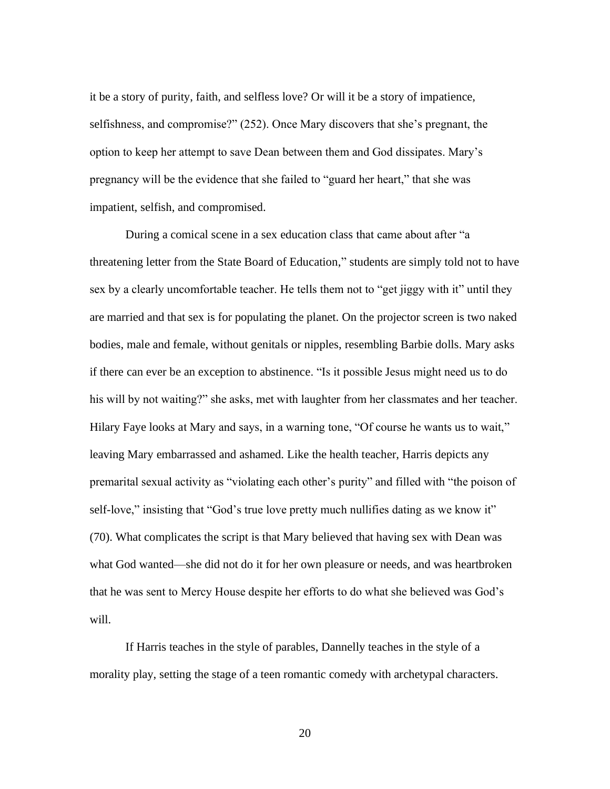it be a story of purity, faith, and selfless love? Or will it be a story of impatience, selfishness, and compromise?" (252). Once Mary discovers that she's pregnant, the option to keep her attempt to save Dean between them and God dissipates. Mary's pregnancy will be the evidence that she failed to "guard her heart," that she was impatient, selfish, and compromised.

During a comical scene in a sex education class that came about after "a threatening letter from the State Board of Education," students are simply told not to have sex by a clearly uncomfortable teacher. He tells them not to "get jiggy with it" until they are married and that sex is for populating the planet. On the projector screen is two naked bodies, male and female, without genitals or nipples, resembling Barbie dolls. Mary asks if there can ever be an exception to abstinence. "Is it possible Jesus might need us to do his will by not waiting?" she asks, met with laughter from her classmates and her teacher. Hilary Faye looks at Mary and says, in a warning tone, "Of course he wants us to wait," leaving Mary embarrassed and ashamed. Like the health teacher, Harris depicts any premarital sexual activity as "violating each other's purity" and filled with "the poison of self-love," insisting that "God's true love pretty much nullifies dating as we know it" (70). What complicates the script is that Mary believed that having sex with Dean was what God wanted—she did not do it for her own pleasure or needs, and was heartbroken that he was sent to Mercy House despite her efforts to do what she believed was God's will.

If Harris teaches in the style of parables, Dannelly teaches in the style of a morality play, setting the stage of a teen romantic comedy with archetypal characters.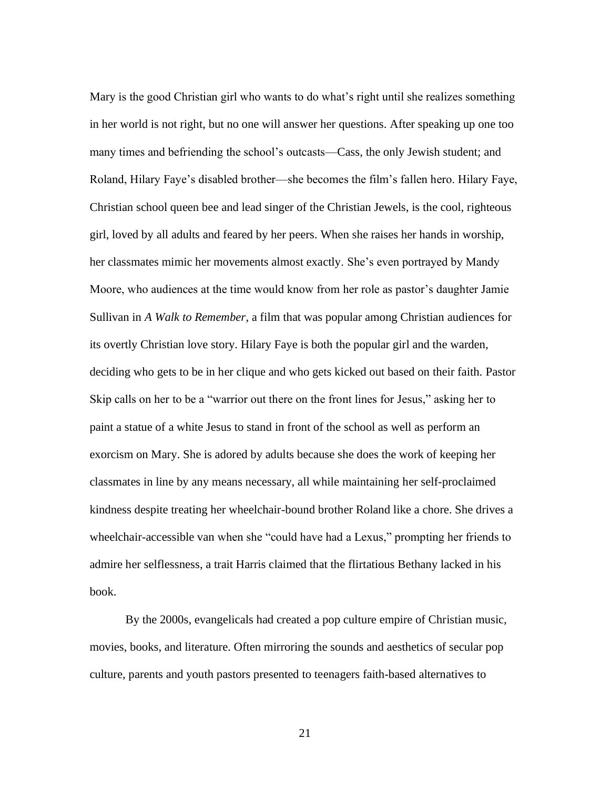Mary is the good Christian girl who wants to do what's right until she realizes something in her world is not right, but no one will answer her questions. After speaking up one too many times and befriending the school's outcasts—Cass, the only Jewish student; and Roland, Hilary Faye's disabled brother—she becomes the film's fallen hero. Hilary Faye, Christian school queen bee and lead singer of the Christian Jewels, is the cool, righteous girl, loved by all adults and feared by her peers. When she raises her hands in worship, her classmates mimic her movements almost exactly. She's even portrayed by Mandy Moore, who audiences at the time would know from her role as pastor's daughter Jamie Sullivan in *A Walk to Remember*, a film that was popular among Christian audiences for its overtly Christian love story. Hilary Faye is both the popular girl and the warden, deciding who gets to be in her clique and who gets kicked out based on their faith. Pastor Skip calls on her to be a "warrior out there on the front lines for Jesus," asking her to paint a statue of a white Jesus to stand in front of the school as well as perform an exorcism on Mary. She is adored by adults because she does the work of keeping her classmates in line by any means necessary, all while maintaining her self-proclaimed kindness despite treating her wheelchair-bound brother Roland like a chore. She drives a wheelchair-accessible van when she "could have had a Lexus," prompting her friends to admire her selflessness, a trait Harris claimed that the flirtatious Bethany lacked in his book.

By the 2000s, evangelicals had created a pop culture empire of Christian music, movies, books, and literature. Often mirroring the sounds and aesthetics of secular pop culture, parents and youth pastors presented to teenagers faith-based alternatives to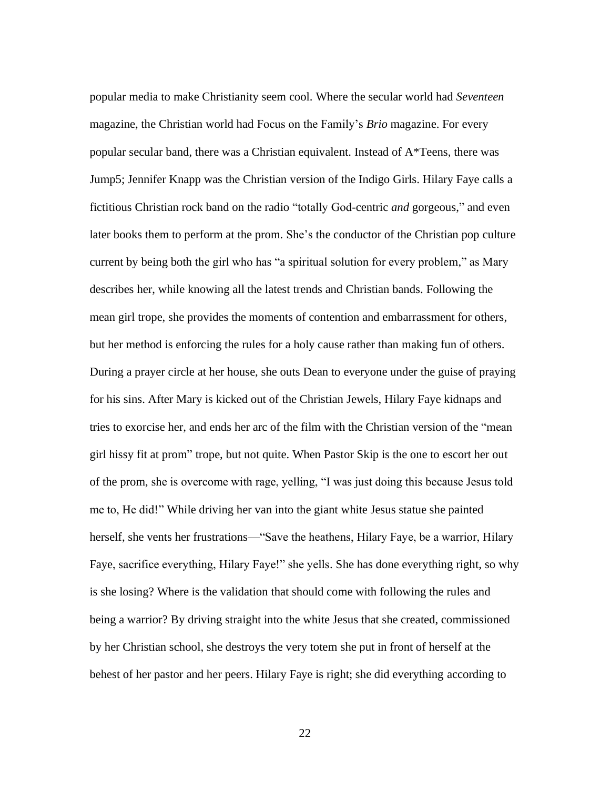popular media to make Christianity seem cool. Where the secular world had *Seventeen* magazine, the Christian world had Focus on the Family's *Brio* magazine. For every popular secular band, there was a Christian equivalent. Instead of A\*Teens, there was Jump5; Jennifer Knapp was the Christian version of the Indigo Girls. Hilary Faye calls a fictitious Christian rock band on the radio "totally God-centric *and* gorgeous," and even later books them to perform at the prom. She's the conductor of the Christian pop culture current by being both the girl who has "a spiritual solution for every problem," as Mary describes her, while knowing all the latest trends and Christian bands. Following the mean girl trope, she provides the moments of contention and embarrassment for others, but her method is enforcing the rules for a holy cause rather than making fun of others. During a prayer circle at her house, she outs Dean to everyone under the guise of praying for his sins. After Mary is kicked out of the Christian Jewels, Hilary Faye kidnaps and tries to exorcise her, and ends her arc of the film with the Christian version of the "mean girl hissy fit at prom" trope, but not quite. When Pastor Skip is the one to escort her out of the prom, she is overcome with rage, yelling, "I was just doing this because Jesus told me to, He did!" While driving her van into the giant white Jesus statue she painted herself, she vents her frustrations—"Save the heathens, Hilary Faye, be a warrior, Hilary Faye, sacrifice everything, Hilary Faye!" she yells. She has done everything right, so why is she losing? Where is the validation that should come with following the rules and being a warrior? By driving straight into the white Jesus that she created, commissioned by her Christian school, she destroys the very totem she put in front of herself at the behest of her pastor and her peers. Hilary Faye is right; she did everything according to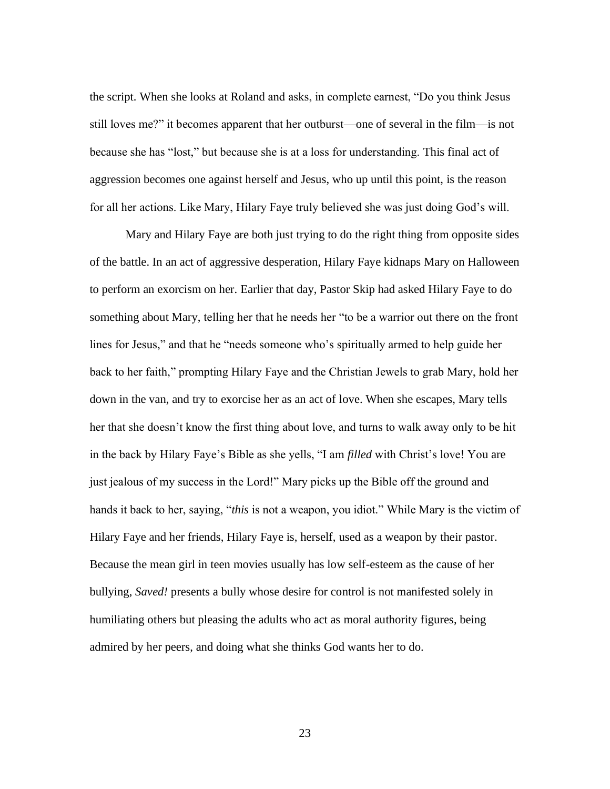the script. When she looks at Roland and asks, in complete earnest, "Do you think Jesus still loves me?" it becomes apparent that her outburst—one of several in the film—is not because she has "lost," but because she is at a loss for understanding. This final act of aggression becomes one against herself and Jesus, who up until this point, is the reason for all her actions. Like Mary, Hilary Faye truly believed she was just doing God's will.

Mary and Hilary Faye are both just trying to do the right thing from opposite sides of the battle. In an act of aggressive desperation, Hilary Faye kidnaps Mary on Halloween to perform an exorcism on her. Earlier that day, Pastor Skip had asked Hilary Faye to do something about Mary, telling her that he needs her "to be a warrior out there on the front lines for Jesus," and that he "needs someone who's spiritually armed to help guide her back to her faith," prompting Hilary Faye and the Christian Jewels to grab Mary, hold her down in the van, and try to exorcise her as an act of love. When she escapes, Mary tells her that she doesn't know the first thing about love, and turns to walk away only to be hit in the back by Hilary Faye's Bible as she yells, "I am *filled* with Christ's love! You are just jealous of my success in the Lord!" Mary picks up the Bible off the ground and hands it back to her, saying, "*this* is not a weapon, you idiot." While Mary is the victim of Hilary Faye and her friends, Hilary Faye is, herself, used as a weapon by their pastor. Because the mean girl in teen movies usually has low self-esteem as the cause of her bullying, *Saved!* presents a bully whose desire for control is not manifested solely in humiliating others but pleasing the adults who act as moral authority figures, being admired by her peers, and doing what she thinks God wants her to do.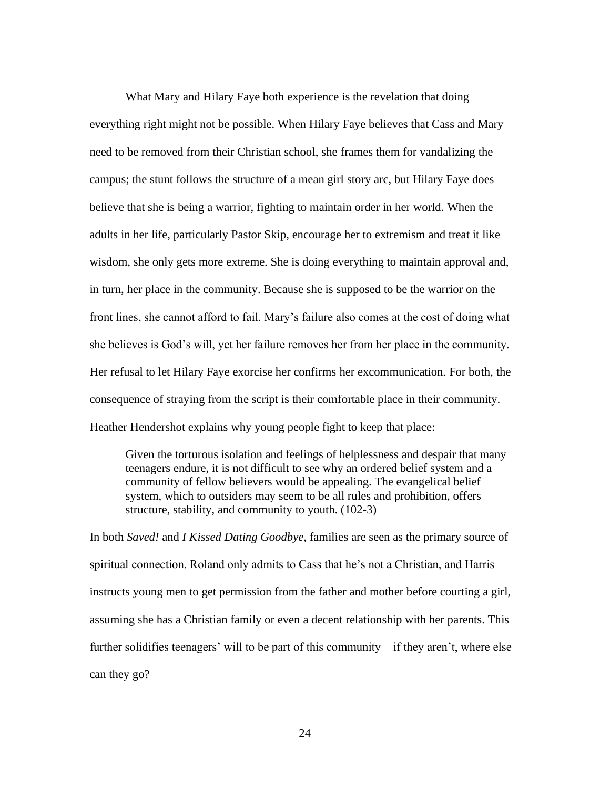What Mary and Hilary Faye both experience is the revelation that doing everything right might not be possible. When Hilary Faye believes that Cass and Mary need to be removed from their Christian school, she frames them for vandalizing the campus; the stunt follows the structure of a mean girl story arc, but Hilary Faye does believe that she is being a warrior, fighting to maintain order in her world. When the adults in her life, particularly Pastor Skip, encourage her to extremism and treat it like wisdom, she only gets more extreme. She is doing everything to maintain approval and, in turn, her place in the community. Because she is supposed to be the warrior on the front lines, she cannot afford to fail. Mary's failure also comes at the cost of doing what she believes is God's will, yet her failure removes her from her place in the community. Her refusal to let Hilary Faye exorcise her confirms her excommunication. For both, the consequence of straying from the script is their comfortable place in their community. Heather Hendershot explains why young people fight to keep that place:

Given the torturous isolation and feelings of helplessness and despair that many teenagers endure, it is not difficult to see why an ordered belief system and a community of fellow believers would be appealing. The evangelical belief system, which to outsiders may seem to be all rules and prohibition, offers structure, stability, and community to youth. (102-3)

In both *Saved!* and *I Kissed Dating Goodbye*, families are seen as the primary source of spiritual connection. Roland only admits to Cass that he's not a Christian, and Harris instructs young men to get permission from the father and mother before courting a girl, assuming she has a Christian family or even a decent relationship with her parents. This further solidifies teenagers' will to be part of this community—if they aren't, where else can they go?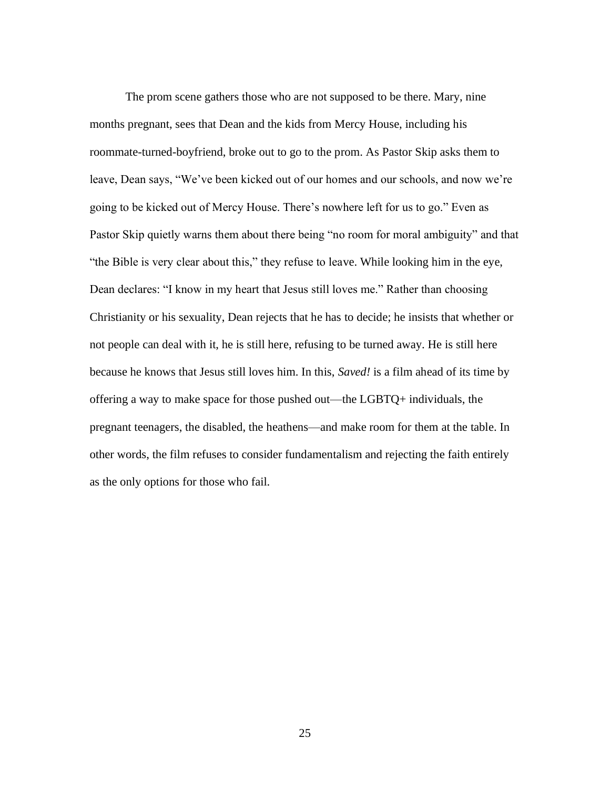The prom scene gathers those who are not supposed to be there. Mary, nine months pregnant, sees that Dean and the kids from Mercy House, including his roommate-turned-boyfriend, broke out to go to the prom. As Pastor Skip asks them to leave, Dean says, "We've been kicked out of our homes and our schools, and now we're going to be kicked out of Mercy House. There's nowhere left for us to go." Even as Pastor Skip quietly warns them about there being "no room for moral ambiguity" and that "the Bible is very clear about this," they refuse to leave. While looking him in the eye, Dean declares: "I know in my heart that Jesus still loves me." Rather than choosing Christianity or his sexuality, Dean rejects that he has to decide; he insists that whether or not people can deal with it, he is still here, refusing to be turned away. He is still here because he knows that Jesus still loves him. In this, *Saved!* is a film ahead of its time by offering a way to make space for those pushed out—the LGBTQ+ individuals, the pregnant teenagers, the disabled, the heathens—and make room for them at the table. In other words, the film refuses to consider fundamentalism and rejecting the faith entirely as the only options for those who fail.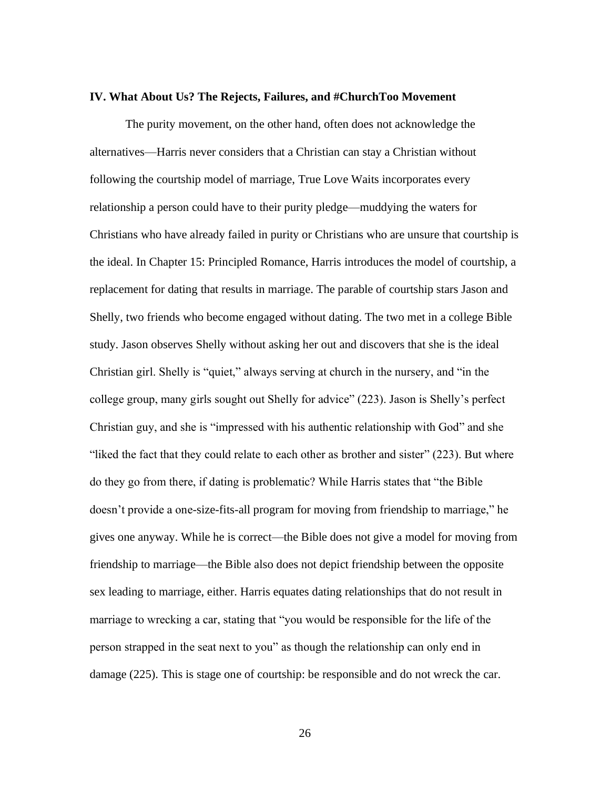#### **IV. What About Us? The Rejects, Failures, and #ChurchToo Movement**

The purity movement, on the other hand, often does not acknowledge the alternatives—Harris never considers that a Christian can stay a Christian without following the courtship model of marriage, True Love Waits incorporates every relationship a person could have to their purity pledge—muddying the waters for Christians who have already failed in purity or Christians who are unsure that courtship is the ideal. In Chapter 15: Principled Romance, Harris introduces the model of courtship, a replacement for dating that results in marriage. The parable of courtship stars Jason and Shelly, two friends who become engaged without dating. The two met in a college Bible study. Jason observes Shelly without asking her out and discovers that she is the ideal Christian girl. Shelly is "quiet," always serving at church in the nursery, and "in the college group, many girls sought out Shelly for advice" (223). Jason is Shelly's perfect Christian guy, and she is "impressed with his authentic relationship with God" and she "liked the fact that they could relate to each other as brother and sister" (223). But where do they go from there, if dating is problematic? While Harris states that "the Bible doesn't provide a one-size-fits-all program for moving from friendship to marriage," he gives one anyway. While he is correct—the Bible does not give a model for moving from friendship to marriage—the Bible also does not depict friendship between the opposite sex leading to marriage, either. Harris equates dating relationships that do not result in marriage to wrecking a car, stating that "you would be responsible for the life of the person strapped in the seat next to you" as though the relationship can only end in damage (225). This is stage one of courtship: be responsible and do not wreck the car.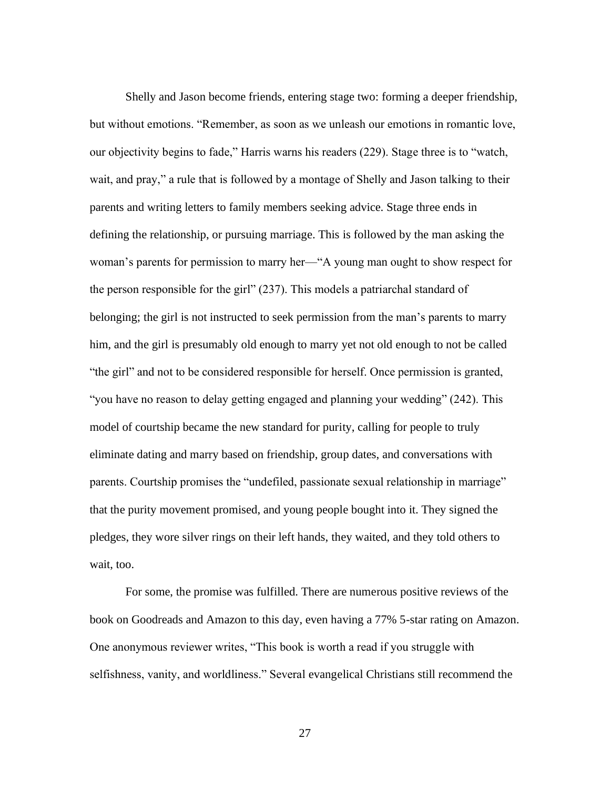Shelly and Jason become friends, entering stage two: forming a deeper friendship, but without emotions. "Remember, as soon as we unleash our emotions in romantic love, our objectivity begins to fade," Harris warns his readers (229). Stage three is to "watch, wait, and pray," a rule that is followed by a montage of Shelly and Jason talking to their parents and writing letters to family members seeking advice. Stage three ends in defining the relationship, or pursuing marriage. This is followed by the man asking the woman's parents for permission to marry her—"A young man ought to show respect for the person responsible for the girl" (237). This models a patriarchal standard of belonging; the girl is not instructed to seek permission from the man's parents to marry him, and the girl is presumably old enough to marry yet not old enough to not be called "the girl" and not to be considered responsible for herself. Once permission is granted, "you have no reason to delay getting engaged and planning your wedding" (242). This model of courtship became the new standard for purity, calling for people to truly eliminate dating and marry based on friendship, group dates, and conversations with parents. Courtship promises the "undefiled, passionate sexual relationship in marriage" that the purity movement promised, and young people bought into it. They signed the pledges, they wore silver rings on their left hands, they waited, and they told others to wait, too.

For some, the promise was fulfilled. There are numerous positive reviews of the book on Goodreads and Amazon to this day, even having a 77% 5-star rating on Amazon. One anonymous reviewer writes, "This book is worth a read if you struggle with selfishness, vanity, and worldliness." Several evangelical Christians still recommend the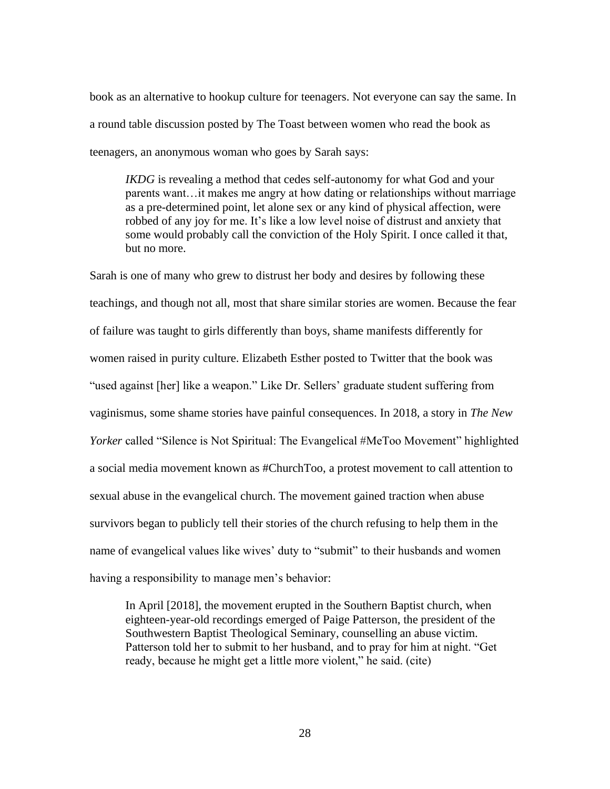book as an alternative to hookup culture for teenagers. Not everyone can say the same. In a round table discussion posted by The Toast between women who read the book as teenagers, an anonymous woman who goes by Sarah says:

*IKDG* is revealing a method that cedes self-autonomy for what God and your parents want…it makes me angry at how dating or relationships without marriage as a pre-determined point, let alone sex or any kind of physical affection, were robbed of any joy for me. It's like a low level noise of distrust and anxiety that some would probably call the conviction of the Holy Spirit. I once called it that, but no more.

Sarah is one of many who grew to distrust her body and desires by following these teachings, and though not all, most that share similar stories are women. Because the fear of failure was taught to girls differently than boys, shame manifests differently for women raised in purity culture. Elizabeth Esther posted to Twitter that the book was "used against [her] like a weapon." Like Dr. Sellers' graduate student suffering from vaginismus, some shame stories have painful consequences. In 2018, a story in *The New Yorker* called "Silence is Not Spiritual: The Evangelical #MeToo Movement" highlighted a social media movement known as #ChurchToo, a protest movement to call attention to sexual abuse in the evangelical church. The movement gained traction when abuse survivors began to publicly tell their stories of the church refusing to help them in the name of evangelical values like wives' duty to "submit" to their husbands and women having a responsibility to manage men's behavior:

In April [2018], the movement erupted in the Southern Baptist church, when eighteen-year-old recordings emerged of Paige Patterson, the president of the Southwestern Baptist Theological Seminary, counselling an abuse victim. Patterson told her to submit to her husband, and to pray for him at night. "Get ready, because he might get a little more violent," he said. (cite)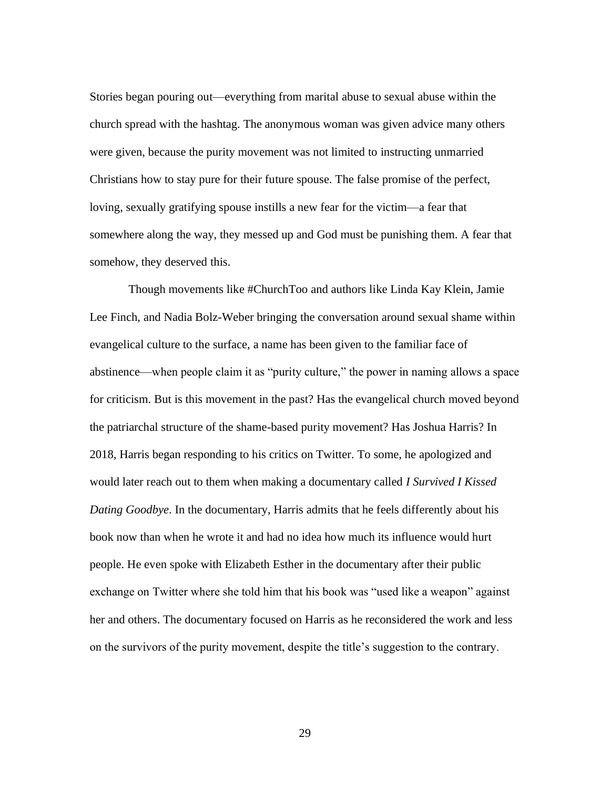Stories began pouring out—everything from marital abuse to sexual abuse within the church spread with the hashtag. The anonymous woman was given advice many others were given, because the purity movement was not limited to instructing unmarried Christians how to stay pure for their future spouse. The false promise of the perfect, loving, sexually gratifying spouse instills a new fear for the victim—a fear that somewhere along the way, they messed up and God must be punishing them. A fear that somehow, they deserved this.

Though movements like #ChurchToo and authors like Linda Kay Klein, Jamie Lee Finch, and Nadia Bolz-Weber bringing the conversation around sexual shame within evangelical culture to the surface, a name has been given to the familiar face of abstinence—when people claim it as "purity culture," the power in naming allows a space for criticism. But is this movement in the past? Has the evangelical church moved beyond the patriarchal structure of the shame-based purity movement? Has Joshua Harris? In 2018, Harris began responding to his critics on Twitter. To some, he apologized and would later reach out to them when making a documentary called *I Survived I Kissed Dating Goodbye*. In the documentary, Harris admits that he feels differently about his book now than when he wrote it and had no idea how much its influence would hurt people. He even spoke with Elizabeth Esther in the documentary after their public exchange on Twitter where she told him that his book was "used like a weapon" against her and others. The documentary focused on Harris as he reconsidered the work and less on the survivors of the purity movement, despite the title's suggestion to the contrary.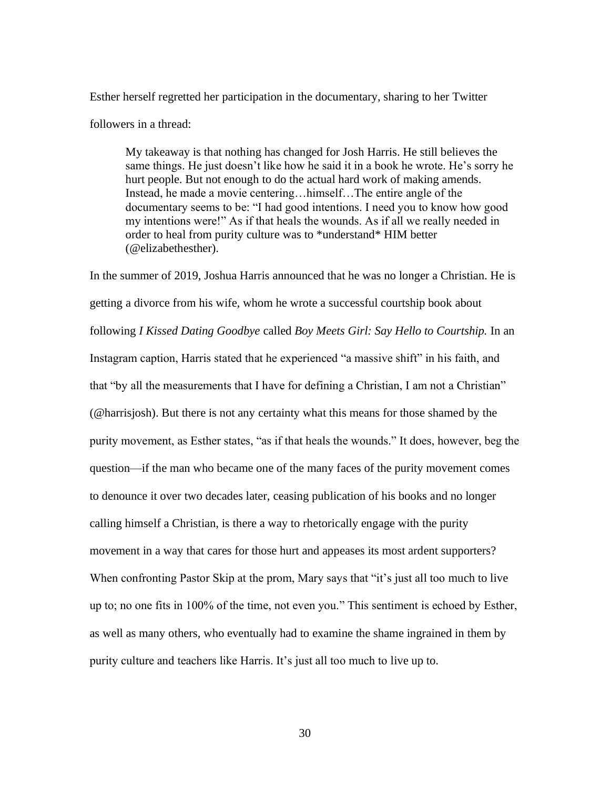Esther herself regretted her participation in the documentary, sharing to her Twitter followers in a thread:

My takeaway is that nothing has changed for Josh Harris. He still believes the same things. He just doesn't like how he said it in a book he wrote. He's sorry he hurt people. But not enough to do the actual hard work of making amends. Instead, he made a movie centering…himself…The entire angle of the documentary seems to be: "I had good intentions. I need you to know how good my intentions were!" As if that heals the wounds. As if all we really needed in order to heal from purity culture was to \*understand\* HIM better (@elizabethesther).

In the summer of 2019, Joshua Harris announced that he was no longer a Christian. He is getting a divorce from his wife, whom he wrote a successful courtship book about following *I Kissed Dating Goodbye* called *Boy Meets Girl: Say Hello to Courtship.* In an Instagram caption, Harris stated that he experienced "a massive shift" in his faith, and that "by all the measurements that I have for defining a Christian, I am not a Christian" (@harrisjosh). But there is not any certainty what this means for those shamed by the purity movement, as Esther states, "as if that heals the wounds." It does, however, beg the question—if the man who became one of the many faces of the purity movement comes to denounce it over two decades later, ceasing publication of his books and no longer calling himself a Christian, is there a way to rhetorically engage with the purity movement in a way that cares for those hurt and appeases its most ardent supporters? When confronting Pastor Skip at the prom, Mary says that "it's just all too much to live up to; no one fits in 100% of the time, not even you." This sentiment is echoed by Esther, as well as many others, who eventually had to examine the shame ingrained in them by purity culture and teachers like Harris. It's just all too much to live up to.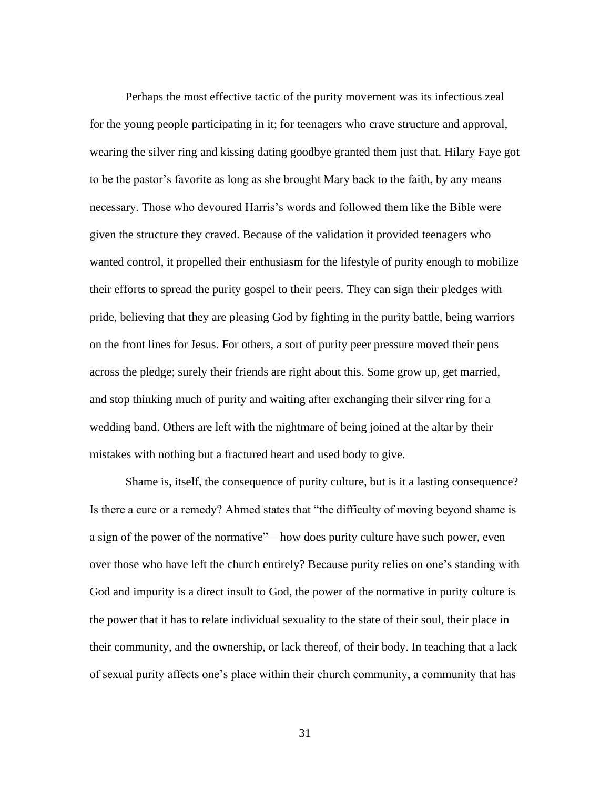Perhaps the most effective tactic of the purity movement was its infectious zeal for the young people participating in it; for teenagers who crave structure and approval, wearing the silver ring and kissing dating goodbye granted them just that. Hilary Faye got to be the pastor's favorite as long as she brought Mary back to the faith, by any means necessary. Those who devoured Harris's words and followed them like the Bible were given the structure they craved. Because of the validation it provided teenagers who wanted control, it propelled their enthusiasm for the lifestyle of purity enough to mobilize their efforts to spread the purity gospel to their peers. They can sign their pledges with pride, believing that they are pleasing God by fighting in the purity battle, being warriors on the front lines for Jesus. For others, a sort of purity peer pressure moved their pens across the pledge; surely their friends are right about this. Some grow up, get married, and stop thinking much of purity and waiting after exchanging their silver ring for a wedding band. Others are left with the nightmare of being joined at the altar by their mistakes with nothing but a fractured heart and used body to give.

Shame is, itself, the consequence of purity culture, but is it a lasting consequence? Is there a cure or a remedy? Ahmed states that "the difficulty of moving beyond shame is a sign of the power of the normative"—how does purity culture have such power, even over those who have left the church entirely? Because purity relies on one's standing with God and impurity is a direct insult to God, the power of the normative in purity culture is the power that it has to relate individual sexuality to the state of their soul, their place in their community, and the ownership, or lack thereof, of their body. In teaching that a lack of sexual purity affects one's place within their church community, a community that has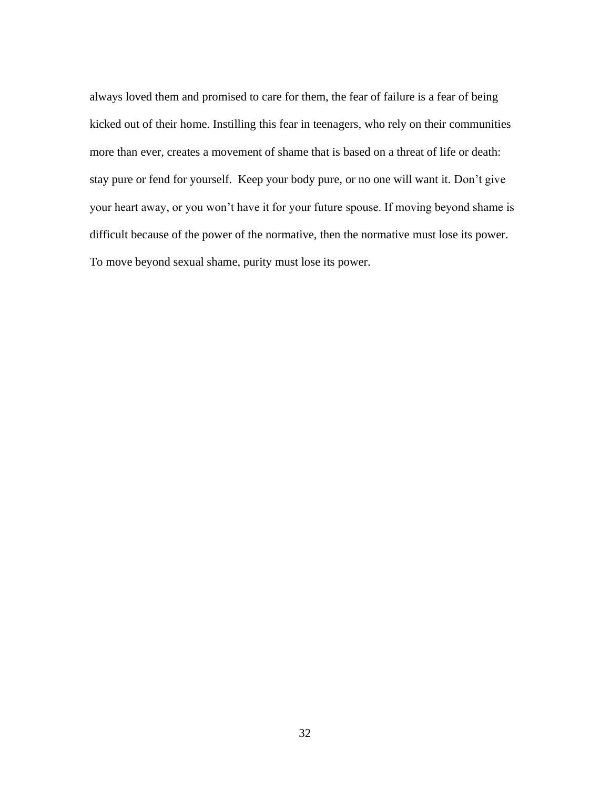always loved them and promised to care for them, the fear of failure is a fear of being kicked out of their home. Instilling this fear in teenagers, who rely on their communities more than ever, creates a movement of shame that is based on a threat of life or death: stay pure or fend for yourself. Keep your body pure, or no one will want it. Don't give your heart away, or you won't have it for your future spouse. If moving beyond shame is difficult because of the power of the normative, then the normative must lose its power. To move beyond sexual shame, purity must lose its power.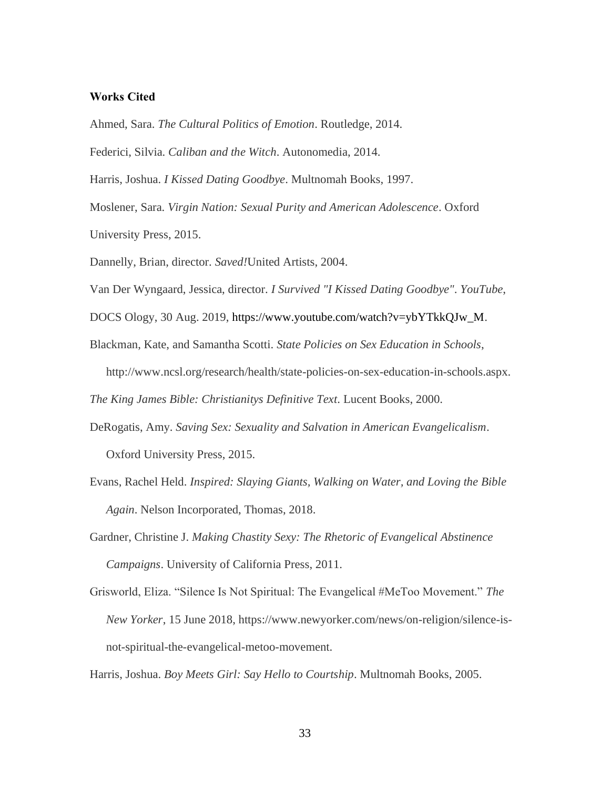#### **Works Cited**

Ahmed, Sara. *The Cultural Politics of Emotion*. Routledge, 2014.

Federici, Silvia. *Caliban and the Witch*. Autonomedia, 2014.

Harris, Joshua. *I Kissed Dating Goodbye*. Multnomah Books, 1997.

Moslener, Sara. *Virgin Nation: Sexual Purity and American Adolescence*. Oxford University Press, 2015.

Dannelly, Brian, director. *Saved!*United Artists, 2004.

Van Der Wyngaard, Jessica, director. *I Survived "I Kissed Dating Goodbye"*. *YouTube*,

DOCS Ology, 30 Aug. 2019, https://www.youtube.com/watch?v=ybYTkkQJw\_M.

Blackman, Kate, and Samantha Scotti. *State Policies on Sex Education in Schools*, http://www.ncsl.org/research/health/state-policies-on-sex-education-in-schools.aspx.

*The King James Bible: Christianitys Definitive Text*. Lucent Books, 2000.

- DeRogatis, Amy. *Saving Sex: Sexuality and Salvation in American Evangelicalism*. Oxford University Press, 2015.
- Evans, Rachel Held. *Inspired: Slaying Giants, Walking on Water, and Loving the Bible Again*. Nelson Incorporated, Thomas, 2018.
- Gardner, Christine J. *Making Chastity Sexy: The Rhetoric of Evangelical Abstinence Campaigns*. University of California Press, 2011.
- Grisworld, Eliza. "Silence Is Not Spiritual: The Evangelical #MeToo Movement." *The New Yorker*, 15 June 2018, https://www.newyorker.com/news/on-religion/silence-isnot-spiritual-the-evangelical-metoo-movement.

Harris, Joshua. *Boy Meets Girl: Say Hello to Courtship*. Multnomah Books, 2005.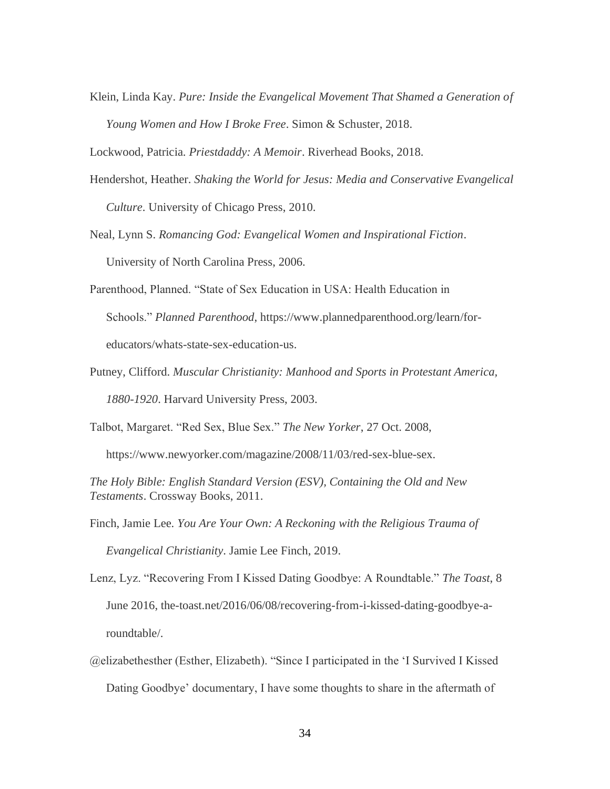Klein, Linda Kay. *Pure: Inside the Evangelical Movement That Shamed a Generation of Young Women and How I Broke Free*. Simon & Schuster, 2018.

Lockwood, Patricia. *Priestdaddy: A Memoir*. Riverhead Books, 2018.

- Hendershot, Heather. *Shaking the World for Jesus: Media and Conservative Evangelical Culture*. University of Chicago Press, 2010.
- Neal, Lynn S. *Romancing God: Evangelical Women and Inspirational Fiction*. University of North Carolina Press, 2006.
- Parenthood, Planned. "State of Sex Education in USA: Health Education in Schools." *Planned Parenthood*, https://www.plannedparenthood.org/learn/foreducators/whats-state-sex-education-us.
- Putney, Clifford. *Muscular Christianity: Manhood and Sports in Protestant America, 1880-1920*. Harvard University Press, 2003.

Talbot, Margaret. "Red Sex, Blue Sex." *The New Yorker*, 27 Oct. 2008,

https://www.newyorker.com/magazine/2008/11/03/red-sex-blue-sex.

*The Holy Bible: English Standard Version (ESV), Containing the Old and New Testaments*. Crossway Books, 2011.

Finch, Jamie Lee. *You Are Your Own: A Reckoning with the Religious Trauma of Evangelical Christianity*. Jamie Lee Finch, 2019.

Lenz, Lyz. "Recovering From I Kissed Dating Goodbye: A Roundtable." *The Toast*, 8 June 2016, the-toast.net/2016/06/08/recovering-from-i-kissed-dating-goodbye-aroundtable/.

@elizabethesther (Esther, Elizabeth). "Since I participated in the 'I Survived I Kissed Dating Goodbye' documentary, I have some thoughts to share in the aftermath of